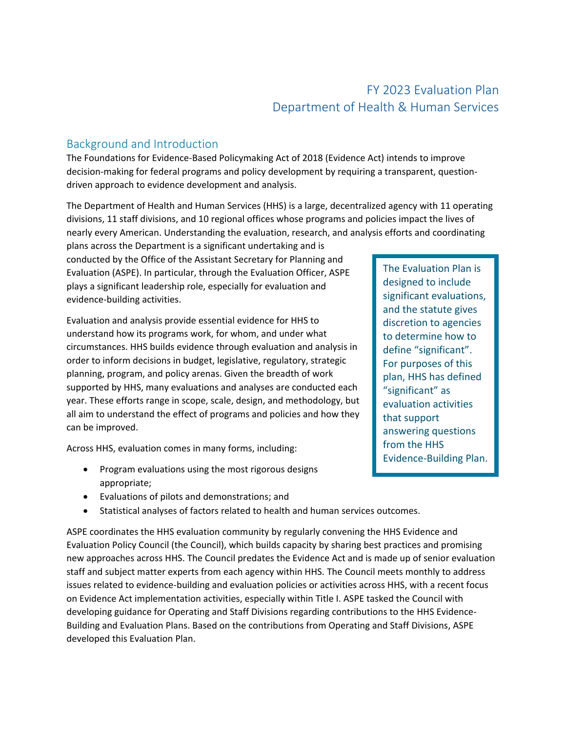# FY 2023 Evaluation Plan Department of Health & Human Services

# Background and Introduction

The Foundations for Evidence-Based Policymaking Act of 2018 (Evidence Act) intends to improve decision-making for federal programs and policy development by requiring a transparent, questiondriven approach to evidence development and analysis.

The Department of Health and Human Services (HHS) is a large, decentralized agency with 11 operating divisions, 11 staff divisions, and 10 regional offices whose programs and policies impact the lives of nearly every American. Understanding the evaluation, research, and analysis efforts and coordinating

plans across the Department is a significant undertaking and is conducted by the Office of the Assistant Secretary for Planning and Evaluation (ASPE). In particular, through the Evaluation Officer, ASPE plays a significant leadership role, especially for evaluation and evidence-building activities.

Evaluation and analysis provide essential evidence for HHS to understand how its programs work, for whom, and under what circumstances. HHS builds evidence through evaluation and analysis in order to inform decisions in budget, legislative, regulatory, strategic planning, program, and policy arenas. Given the breadth of work supported by HHS, many evaluations and analyses are conducted each year. These efforts range in scope, scale, design, and methodology, but all aim to understand the effect of programs and policies and how they can be improved.

Across HHS, evaluation comes in many forms, including:

- Program evaluations using the most rigorous designs appropriate;
- Evaluations of pilots and demonstrations; and
- Statistical analyses of factors related to health and human services outcomes.

ASPE coordinates the HHS evaluation community by regularly convening the HHS Evidence and Evaluation Policy Council (the Council), which builds capacity by sharing best practices and promising new approaches across HHS. The Council predates the Evidence Act and is made up of senior evaluation staff and subject matter experts from each agency within HHS. The Council meets monthly to address issues related to evidence-building and evaluation policies or activities across HHS, with a recent focus on Evidence Act implementation activities, especially within Title I. ASPE tasked the Council with developing guidance for Operating and Staff Divisions regarding contributions to the HHS Evidence-Building and Evaluation Plans. Based on the contributions from Operating and Staff Divisions, ASPE developed this Evaluation Plan.

The Evaluation Plan is designed to include significant evaluations, and the statute gives discretion to agencies to determine how to define "significant". For purposes of this plan, HHS has defined "significant" as evaluation activities that support answering questions from the HHS Evidence-Building Plan.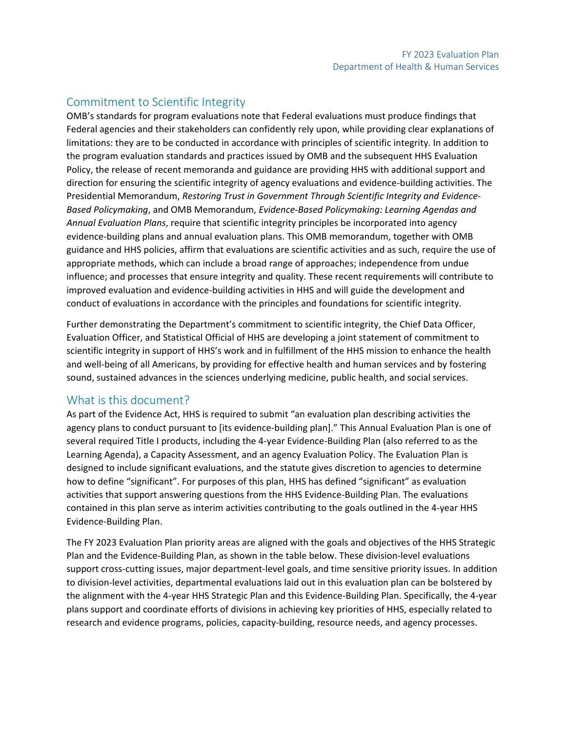# Commitment to Scientific Integrity

OMB's standards for program evaluations note that Federal evaluations must produce findings that Federal agencies and their stakeholders can confidently rely upon, while providing clear explanations of limitations: they are to be conducted in accordance with principles of scientific integrity. In addition to the program evaluation standards and practices issued by OMB and the subsequent HHS Evaluation Policy, the release of recent memoranda and guidance are providing HHS with additional support and direction for ensuring the scientific integrity of agency evaluations and evidence-building activities. The Presidential Memorandum, *Restoring Trust in Government Through Scientific Integrity and Evidence-Based Policymaking*, and OMB Memorandum, *Evidence-Based Policymaking: Learning Agendas and Annual Evaluation Plans*, require that scientific integrity principles be incorporated into agency evidence-building plans and annual evaluation plans. This OMB memorandum, together with OMB guidance and HHS policies, affirm that evaluations are scientific activities and as such, require the use of appropriate methods, which can include a broad range of approaches; independence from undue influence; and processes that ensure integrity and quality. These recent requirements will contribute to improved evaluation and evidence-building activities in HHS and will guide the development and conduct of evaluations in accordance with the principles and foundations for scientific integrity.

Further demonstrating the Department's commitment to scientific integrity, the Chief Data Officer, Evaluation Officer, and Statistical Official of HHS are developing a joint statement of commitment to scientific integrity in support of HHS's work and in fulfillment of the HHS mission to enhance the health and well-being of all Americans, by providing for effective health and human services and by fostering sound, sustained advances in the sciences underlying medicine, public health, and social services.

# What is this document?

As part of the Evidence Act, HHS is required to submit "an evaluation plan describing activities the agency plans to conduct pursuant to [its evidence-building plan]." This Annual Evaluation Plan is one of several required Title I products, including the 4-year Evidence-Building Plan (also referred to as the Learning Agenda), a Capacity Assessment, and an agency Evaluation Policy. The Evaluation Plan is designed to include significant evaluations, and the statute gives discretion to agencies to determine how to define "significant". For purposes of this plan, HHS has defined "significant" as evaluation activities that support answering questions from the HHS Evidence-Building Plan. The evaluations contained in this plan serve as interim activities contributing to the goals outlined in the 4-year HHS Evidence-Building Plan.

The FY 2023 Evaluation Plan priority areas are aligned with the goals and objectives of the HHS Strategic Plan and the Evidence-Building Plan, as shown in the table below. These division-level evaluations support cross-cutting issues, major department-level goals, and time sensitive priority issues. In addition to division-level activities, departmental evaluations laid out in this evaluation plan can be bolstered by the alignment with the 4-year HHS Strategic Plan and this Evidence-Building Plan. Specifically, the 4-year plans support and coordinate efforts of divisions in achieving key priorities of HHS, especially related to research and evidence programs, policies, capacity-building, resource needs, and agency processes.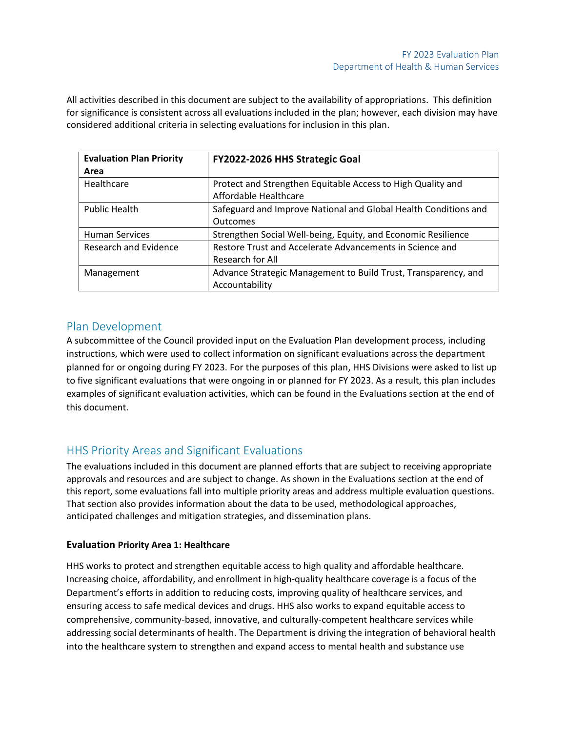All activities described in this document are subject to the availability of appropriations. This definition for significance is consistent across all evaluations included in the plan; however, each division may have considered additional criteria in selecting evaluations for inclusion in this plan.

| <b>Evaluation Plan Priority</b><br>Area | <b>FY2022-2026 HHS Strategic Goal</b>                                                |
|-----------------------------------------|--------------------------------------------------------------------------------------|
| Healthcare                              | Protect and Strengthen Equitable Access to High Quality and<br>Affordable Healthcare |
| <b>Public Health</b>                    | Safeguard and Improve National and Global Health Conditions and<br><b>Outcomes</b>   |
| <b>Human Services</b>                   | Strengthen Social Well-being, Equity, and Economic Resilience                        |
| Research and Evidence                   | Restore Trust and Accelerate Advancements in Science and<br>Research for All         |
| Management                              | Advance Strategic Management to Build Trust, Transparency, and<br>Accountability     |

# Plan Development

A subcommittee of the Council provided input on the Evaluation Plan development process, including instructions, which were used to collect information on significant evaluations across the department planned for or ongoing during FY 2023. For the purposes of this plan, HHS Divisions were asked to list up to five significant evaluations that were ongoing in or planned for FY 2023. As a result, this plan includes examples of significant evaluation activities, which can be found in the Evaluations section at the end of this document.

# HHS Priority Areas and Significant Evaluations

The evaluations included in this document are planned efforts that are subject to receiving appropriate approvals and resources and are subject to change. As shown in the Evaluations section at the end of this report, some evaluations fall into multiple priority areas and address multiple evaluation questions. That section also provides information about the data to be used, methodological approaches, anticipated challenges and mitigation strategies, and dissemination plans.

# **Evaluation Priority Area 1: Healthcare**

HHS works to protect and strengthen equitable access to high quality and affordable healthcare. Increasing choice, affordability, and enrollment in high-quality healthcare coverage is a focus of the Department's efforts in addition to reducing costs, improving quality of healthcare services, and ensuring access to safe medical devices and drugs. HHS also works to expand equitable access to comprehensive, community-based, innovative, and culturally-competent healthcare services while addressing social determinants of health. The Department is driving the integration of behavioral health into the healthcare system to strengthen and expand access to mental health and substance use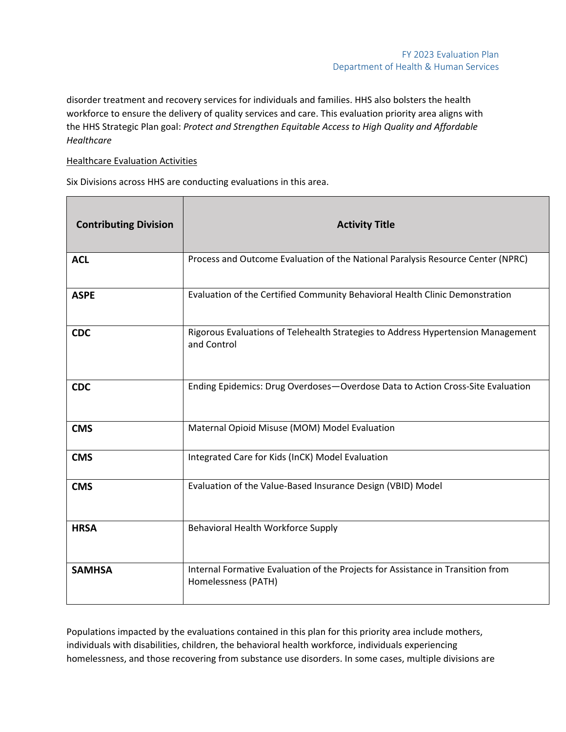disorder treatment and recovery services for individuals and families. HHS also bolsters the health workforce to ensure the delivery of quality services and care. This evaluation priority area aligns with the HHS Strategic Plan goal: *Protect and Strengthen Equitable Access to High Quality and Affordable Healthcare*

# Healthcare Evaluation Activities

Six Divisions across HHS are conducting evaluations in this area.

| <b>Contributing Division</b> | <b>Activity Title</b>                                                                                  |
|------------------------------|--------------------------------------------------------------------------------------------------------|
| <b>ACL</b>                   | Process and Outcome Evaluation of the National Paralysis Resource Center (NPRC)                        |
| <b>ASPE</b>                  | Evaluation of the Certified Community Behavioral Health Clinic Demonstration                           |
| <b>CDC</b>                   | Rigorous Evaluations of Telehealth Strategies to Address Hypertension Management<br>and Control        |
| <b>CDC</b>                   | Ending Epidemics: Drug Overdoses-Overdose Data to Action Cross-Site Evaluation                         |
| <b>CMS</b>                   | Maternal Opioid Misuse (MOM) Model Evaluation                                                          |
| <b>CMS</b>                   | Integrated Care for Kids (InCK) Model Evaluation                                                       |
| <b>CMS</b>                   | Evaluation of the Value-Based Insurance Design (VBID) Model                                            |
| <b>HRSA</b>                  | Behavioral Health Workforce Supply                                                                     |
| <b>SAMHSA</b>                | Internal Formative Evaluation of the Projects for Assistance in Transition from<br>Homelessness (PATH) |

Populations impacted by the evaluations contained in this plan for this priority area include mothers, individuals with disabilities, children, the behavioral health workforce, individuals experiencing homelessness, and those recovering from substance use disorders. In some cases, multiple divisions are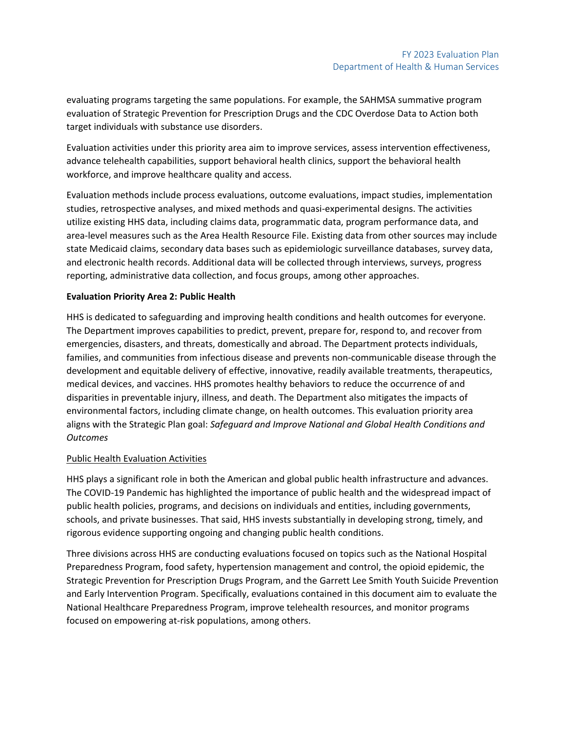evaluating programs targeting the same populations. For example, the SAHMSA summative program evaluation of Strategic Prevention for Prescription Drugs and the CDC Overdose Data to Action both target individuals with substance use disorders.

Evaluation activities under this priority area aim to improve services, assess intervention effectiveness, advance telehealth capabilities, support behavioral health clinics, support the behavioral health workforce, and improve healthcare quality and access.

Evaluation methods include process evaluations, outcome evaluations, impact studies, implementation studies, retrospective analyses, and mixed methods and quasi-experimental designs. The activities utilize existing HHS data, including claims data, programmatic data, program performance data, and area-level measures such as the Area Health Resource File. Existing data from other sources may include state Medicaid claims, secondary data bases such as epidemiologic surveillance databases, survey data, and electronic health records. Additional data will be collected through interviews, surveys, progress reporting, administrative data collection, and focus groups, among other approaches.

### **Evaluation Priority Area 2: Public Health**

HHS is dedicated to safeguarding and improving health conditions and health outcomes for everyone. The Department improves capabilities to predict, prevent, prepare for, respond to, and recover from emergencies, disasters, and threats, domestically and abroad. The Department protects individuals, families, and communities from infectious disease and prevents non-communicable disease through the development and equitable delivery of effective, innovative, readily available treatments, therapeutics, medical devices, and vaccines. HHS promotes healthy behaviors to reduce the occurrence of and disparities in preventable injury, illness, and death. The Department also mitigates the impacts of environmental factors, including climate change, on health outcomes. This evaluation priority area aligns with the Strategic Plan goal: *Safeguard and Improve National and Global Health Conditions and Outcomes*

### Public Health Evaluation Activities

HHS plays a significant role in both the American and global public health infrastructure and advances. The COVID-19 Pandemic has highlighted the importance of public health and the widespread impact of public health policies, programs, and decisions on individuals and entities, including governments, schools, and private businesses. That said, HHS invests substantially in developing strong, timely, and rigorous evidence supporting ongoing and changing public health conditions.

Three divisions across HHS are conducting evaluations focused on topics such as the National Hospital Preparedness Program, food safety, hypertension management and control, the opioid epidemic, the Strategic Prevention for Prescription Drugs Program, and the Garrett Lee Smith Youth Suicide Prevention and Early Intervention Program. Specifically, evaluations contained in this document aim to evaluate the National Healthcare Preparedness Program, improve telehealth resources, and monitor programs focused on empowering at-risk populations, among others.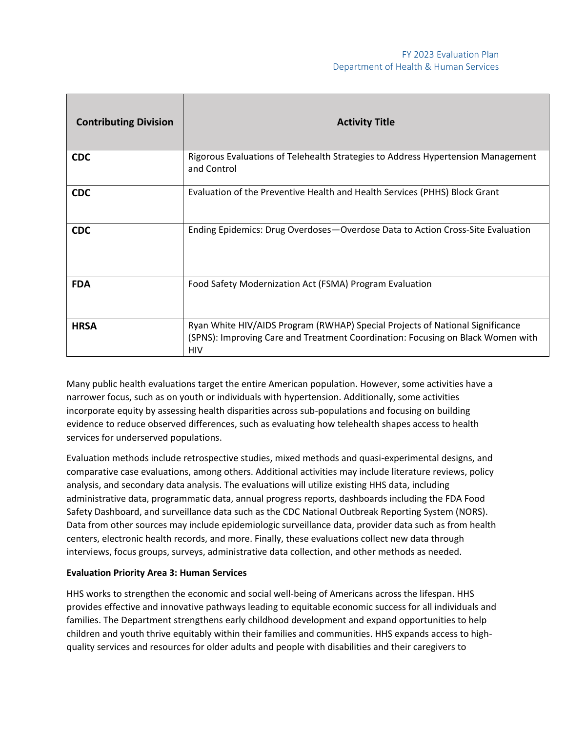| <b>Contributing Division</b> | <b>Activity Title</b>                                                                                                                                                          |
|------------------------------|--------------------------------------------------------------------------------------------------------------------------------------------------------------------------------|
| <b>CDC</b>                   | Rigorous Evaluations of Telehealth Strategies to Address Hypertension Management<br>and Control                                                                                |
| <b>CDC</b>                   | Evaluation of the Preventive Health and Health Services (PHHS) Block Grant                                                                                                     |
| <b>CDC</b>                   | Ending Epidemics: Drug Overdoses-Overdose Data to Action Cross-Site Evaluation                                                                                                 |
| <b>FDA</b>                   | Food Safety Modernization Act (FSMA) Program Evaluation                                                                                                                        |
| <b>HRSA</b>                  | Ryan White HIV/AIDS Program (RWHAP) Special Projects of National Significance<br>(SPNS): Improving Care and Treatment Coordination: Focusing on Black Women with<br><b>HIV</b> |

Many public health evaluations target the entire American population. However, some activities have a narrower focus, such as on youth or individuals with hypertension. Additionally, some activities incorporate equity by assessing health disparities across sub-populations and focusing on building evidence to reduce observed differences, such as evaluating how telehealth shapes access to health services for underserved populations.

Evaluation methods include retrospective studies, mixed methods and quasi-experimental designs, and comparative case evaluations, among others. Additional activities may include literature reviews, policy analysis, and secondary data analysis. The evaluations will utilize existing HHS data, including administrative data, programmatic data, annual progress reports, dashboards including the FDA Food Safety Dashboard, and surveillance data such as the CDC National Outbreak Reporting System (NORS). Data from other sources may include epidemiologic surveillance data, provider data such as from health centers, electronic health records, and more. Finally, these evaluations collect new data through interviews, focus groups, surveys, administrative data collection, and other methods as needed.

### **Evaluation Priority Area 3: Human Services**

HHS works to strengthen the economic and social well-being of Americans across the lifespan. HHS provides effective and innovative pathways leading to equitable economic success for all individuals and families. The Department strengthens early childhood development and expand opportunities to help children and youth thrive equitably within their families and communities. HHS expands access to highquality services and resources for older adults and people with disabilities and their caregivers to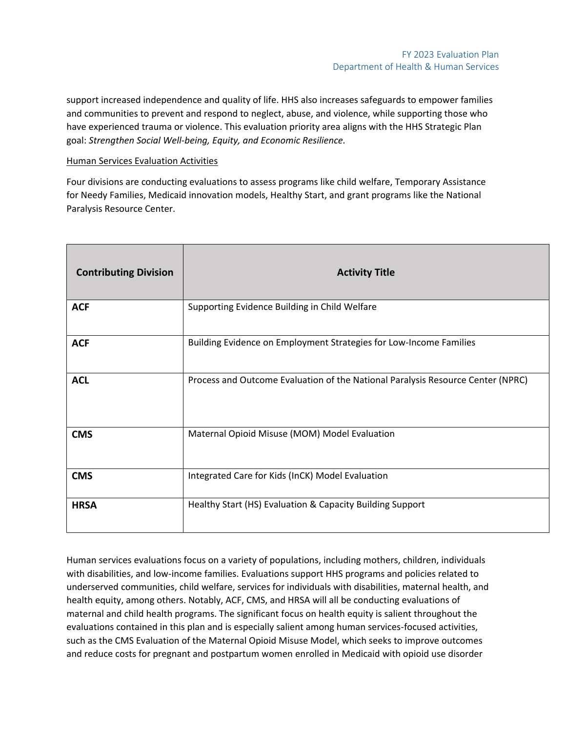support increased independence and quality of life. HHS also increases safeguards to empower families and communities to prevent and respond to neglect, abuse, and violence, while supporting those who have experienced trauma or violence. This evaluation priority area aligns with the HHS Strategic Plan goal: *Strengthen Social Well-being, Equity, and Economic Resilience.*

### Human Services Evaluation Activities

Four divisions are conducting evaluations to assess programs like child welfare, Temporary Assistance for Needy Families, Medicaid innovation models, Healthy Start, and grant programs like the National Paralysis Resource Center.

| <b>Contributing Division</b> | <b>Activity Title</b>                                                           |
|------------------------------|---------------------------------------------------------------------------------|
| <b>ACF</b>                   | Supporting Evidence Building in Child Welfare                                   |
| <b>ACF</b>                   | Building Evidence on Employment Strategies for Low-Income Families              |
| <b>ACL</b>                   | Process and Outcome Evaluation of the National Paralysis Resource Center (NPRC) |
| <b>CMS</b>                   | Maternal Opioid Misuse (MOM) Model Evaluation                                   |
| <b>CMS</b>                   | Integrated Care for Kids (InCK) Model Evaluation                                |
| <b>HRSA</b>                  | Healthy Start (HS) Evaluation & Capacity Building Support                       |

Human services evaluations focus on a variety of populations, including mothers, children, individuals with disabilities, and low-income families. Evaluations support HHS programs and policies related to underserved communities, child welfare, services for individuals with disabilities, maternal health, and health equity, among others. Notably, ACF, CMS, and HRSA will all be conducting evaluations of maternal and child health programs. The significant focus on health equity is salient throughout the evaluations contained in this plan and is especially salient among human services-focused activities, such as the CMS Evaluation of the Maternal Opioid Misuse Model, which seeks to improve outcomes and reduce costs for pregnant and postpartum women enrolled in Medicaid with opioid use disorder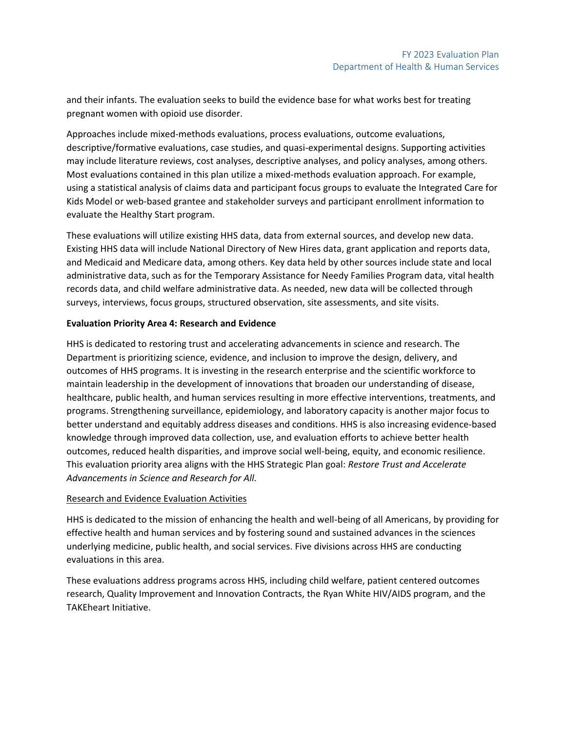and their infants. The evaluation seeks to build the evidence base for what works best for treating pregnant women with opioid use disorder.

Approaches include mixed-methods evaluations, process evaluations, outcome evaluations, descriptive/formative evaluations, case studies, and quasi-experimental designs. Supporting activities may include literature reviews, cost analyses, descriptive analyses, and policy analyses, among others. Most evaluations contained in this plan utilize a mixed-methods evaluation approach. For example, using a statistical analysis of claims data and participant focus groups to evaluate the Integrated Care for Kids Model or web-based grantee and stakeholder surveys and participant enrollment information to evaluate the Healthy Start program.

These evaluations will utilize existing HHS data, data from external sources, and develop new data. Existing HHS data will include National Directory of New Hires data, grant application and reports data, and Medicaid and Medicare data, among others. Key data held by other sources include state and local administrative data, such as for the Temporary Assistance for Needy Families Program data, vital health records data, and child welfare administrative data. As needed, new data will be collected through surveys, interviews, focus groups, structured observation, site assessments, and site visits.

## **Evaluation Priority Area 4: Research and Evidence**

HHS is dedicated to restoring trust and accelerating advancements in science and research. The Department is prioritizing science, evidence, and inclusion to improve the design, delivery, and outcomes of HHS programs. It is investing in the research enterprise and the scientific workforce to maintain leadership in the development of innovations that broaden our understanding of disease, healthcare, public health, and human services resulting in more effective interventions, treatments, and programs. Strengthening surveillance, epidemiology, and laboratory capacity is another major focus to better understand and equitably address diseases and conditions. HHS is also increasing evidence-based knowledge through improved data collection, use, and evaluation efforts to achieve better health outcomes, reduced health disparities, and improve social well-being, equity, and economic resilience. This evaluation priority area aligns with the HHS Strategic Plan goal: *Restore Trust and Accelerate Advancements in Science and Research for All.*

# Research and Evidence Evaluation Activities

HHS is dedicated to the mission of enhancing the health and well-being of all Americans, by providing for effective health and human services and by fostering sound and sustained advances in the sciences underlying medicine, public health, and social services. Five divisions across HHS are conducting evaluations in this area.

These evaluations address programs across HHS, including child welfare, patient centered outcomes research, Quality Improvement and Innovation Contracts, the Ryan White HIV/AIDS program, and the TAKEheart Initiative.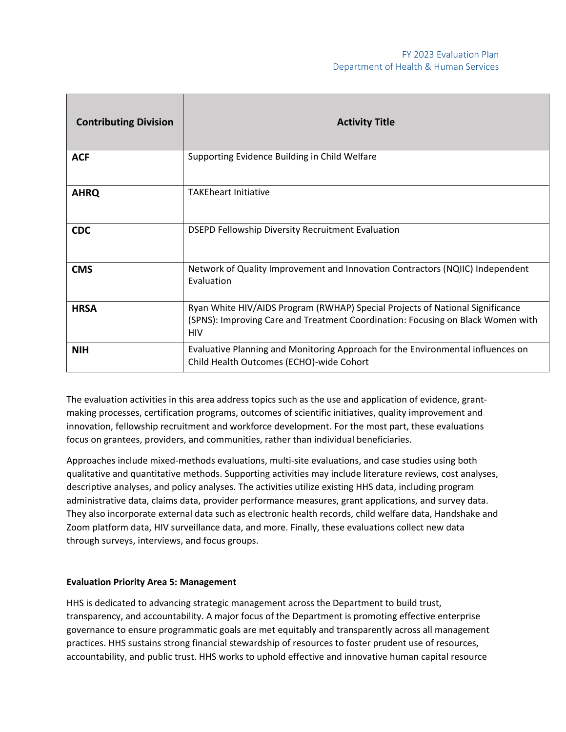| <b>Contributing Division</b> | <b>Activity Title</b>                                                                                                                                                          |
|------------------------------|--------------------------------------------------------------------------------------------------------------------------------------------------------------------------------|
| <b>ACF</b>                   | Supporting Evidence Building in Child Welfare                                                                                                                                  |
| <b>AHRQ</b>                  | <b>TAKEheart Initiative</b>                                                                                                                                                    |
| <b>CDC</b>                   | DSEPD Fellowship Diversity Recruitment Evaluation                                                                                                                              |
| <b>CMS</b>                   | Network of Quality Improvement and Innovation Contractors (NQIIC) Independent<br>Evaluation                                                                                    |
| <b>HRSA</b>                  | Ryan White HIV/AIDS Program (RWHAP) Special Projects of National Significance<br>(SPNS): Improving Care and Treatment Coordination: Focusing on Black Women with<br><b>HIV</b> |
| <b>NIH</b>                   | Evaluative Planning and Monitoring Approach for the Environmental influences on<br>Child Health Outcomes (ECHO)-wide Cohort                                                    |

The evaluation activities in this area address topics such as the use and application of evidence, grantmaking processes, certification programs, outcomes of scientific initiatives, quality improvement and innovation, fellowship recruitment and workforce development. For the most part, these evaluations focus on grantees, providers, and communities, rather than individual beneficiaries.

Approaches include mixed-methods evaluations, multi-site evaluations, and case studies using both qualitative and quantitative methods. Supporting activities may include literature reviews, cost analyses, descriptive analyses, and policy analyses. The activities utilize existing HHS data, including program administrative data, claims data, provider performance measures, grant applications, and survey data. They also incorporate external data such as electronic health records, child welfare data, Handshake and Zoom platform data, HIV surveillance data, and more. Finally, these evaluations collect new data through surveys, interviews, and focus groups.

### **Evaluation Priority Area 5: Management**

HHS is dedicated to advancing strategic management across the Department to build trust, transparency, and accountability. A major focus of the Department is promoting effective enterprise governance to ensure programmatic goals are met equitably and transparently across all management practices. HHS sustains strong financial stewardship of resources to foster prudent use of resources, accountability, and public trust. HHS works to uphold effective and innovative human capital resource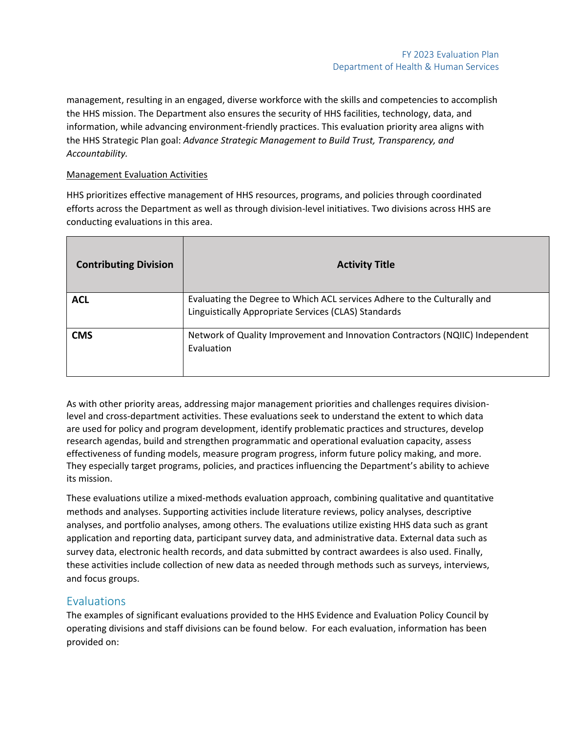management, resulting in an engaged, diverse workforce with the skills and competencies to accomplish the HHS mission. The Department also ensures the security of HHS facilities, technology, data, and information, while advancing environment-friendly practices. This evaluation priority area aligns with the HHS Strategic Plan goal: *Advance Strategic Management to Build Trust, Transparency, and Accountability.*

# Management Evaluation Activities

HHS prioritizes effective management of HHS resources, programs, and policies through coordinated efforts across the Department as well as through division-level initiatives. Two divisions across HHS are conducting evaluations in this area.

| <b>Contributing Division</b> | <b>Activity Title</b>                                                                                                            |
|------------------------------|----------------------------------------------------------------------------------------------------------------------------------|
| <b>ACL</b>                   | Evaluating the Degree to Which ACL services Adhere to the Culturally and<br>Linguistically Appropriate Services (CLAS) Standards |
| <b>CMS</b>                   | Network of Quality Improvement and Innovation Contractors (NQIIC) Independent<br>Evaluation                                      |

As with other priority areas, addressing major management priorities and challenges requires divisionlevel and cross-department activities. These evaluations seek to understand the extent to which data are used for policy and program development, identify problematic practices and structures, develop research agendas, build and strengthen programmatic and operational evaluation capacity, assess effectiveness of funding models, measure program progress, inform future policy making, and more. They especially target programs, policies, and practices influencing the Department's ability to achieve its mission.

These evaluations utilize a mixed-methods evaluation approach, combining qualitative and quantitative methods and analyses. Supporting activities include literature reviews, policy analyses, descriptive analyses, and portfolio analyses, among others. The evaluations utilize existing HHS data such as grant application and reporting data, participant survey data, and administrative data. External data such as survey data, electronic health records, and data submitted by contract awardees is also used. Finally, these activities include collection of new data as needed through methods such as surveys, interviews, and focus groups.

# **Evaluations**

The examples of significant evaluations provided to the HHS Evidence and Evaluation Policy Council by operating divisions and staff divisions can be found below. For each evaluation, information has been provided on: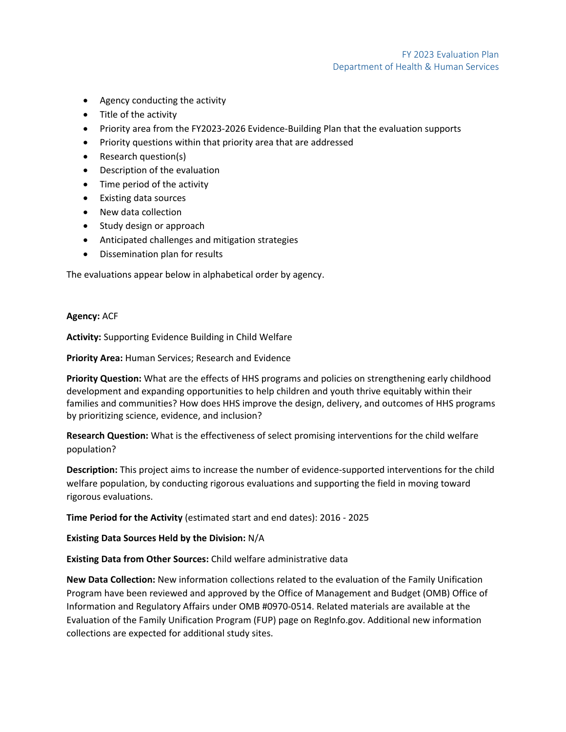- Agency conducting the activity
- Title of the activity
- Priority area from the FY2023-2026 Evidence-Building Plan that the evaluation supports
- Priority questions within that priority area that are addressed
- Research question(s)
- Description of the evaluation
- Time period of the activity
- Existing data sources
- New data collection
- Study design or approach
- Anticipated challenges and mitigation strategies
- Dissemination plan for results

The evaluations appear below in alphabetical order by agency.

**Agency:** ACF

**Activity:** Supporting Evidence Building in Child Welfare

**Priority Area:** Human Services; Research and Evidence

**Priority Question:** What are the effects of HHS programs and policies on strengthening early childhood development and expanding opportunities to help children and youth thrive equitably within their families and communities? How does HHS improve the design, delivery, and outcomes of HHS programs by prioritizing science, evidence, and inclusion?

**Research Question:** What is the effectiveness of select promising interventions for the child welfare population?

**Description:** This project aims to increase the number of evidence-supported interventions for the child welfare population, by conducting rigorous evaluations and supporting the field in moving toward rigorous evaluations.

**Time Period for the Activity** (estimated start and end dates): 2016 - 2025

**Existing Data Sources Held by the Division:** N/A

**Existing Data from Other Sources:** Child welfare administrative data

**New Data Collection:** New information collections related to the evaluation of the Family Unification Program have been reviewed and approved by the Office of Management and Budget (OMB) Office of Information and Regulatory Affairs under OMB #0970-0514. Related materials are available at the Evaluation of the Family Unification Program (FUP) page on RegInfo.gov. Additional new information collections are expected for additional study sites.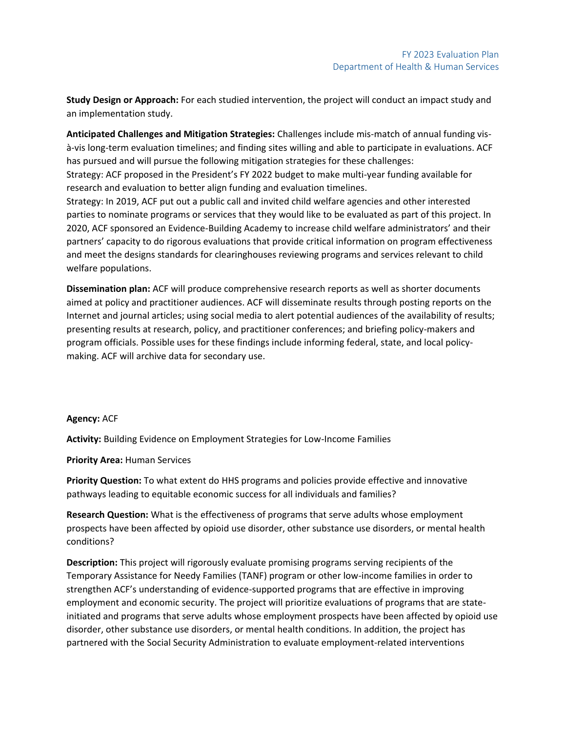**Study Design or Approach:** For each studied intervention, the project will conduct an impact study and an implementation study.

**Anticipated Challenges and Mitigation Strategies:** Challenges include mis-match of annual funding visà-vis long-term evaluation timelines; and finding sites willing and able to participate in evaluations. ACF has pursued and will pursue the following mitigation strategies for these challenges:

Strategy: ACF proposed in the President's FY 2022 budget to make multi-year funding available for research and evaluation to better align funding and evaluation timelines.

Strategy: In 2019, ACF put out a public call and invited child welfare agencies and other interested parties to nominate programs or services that they would like to be evaluated as part of this project. In 2020, ACF sponsored an Evidence-Building Academy to increase child welfare administrators' and their partners' capacity to do rigorous evaluations that provide critical information on program effectiveness and meet the designs standards for clearinghouses reviewing programs and services relevant to child welfare populations.

**Dissemination plan:** ACF will produce comprehensive research reports as well as shorter documents aimed at policy and practitioner audiences. ACF will disseminate results through posting reports on the Internet and journal articles; using social media to alert potential audiences of the availability of results; presenting results at research, policy, and practitioner conferences; and briefing policy-makers and program officials. Possible uses for these findings include informing federal, state, and local policymaking. ACF will archive data for secondary use.

### **Agency:** ACF

**Activity:** Building Evidence on Employment Strategies for Low-Income Families

### **Priority Area:** Human Services

**Priority Question:** To what extent do HHS programs and policies provide effective and innovative pathways leading to equitable economic success for all individuals and families?

**Research Question:** What is the effectiveness of programs that serve adults whose employment prospects have been affected by opioid use disorder, other substance use disorders, or mental health conditions?

**Description:** This project will rigorously evaluate promising programs serving recipients of the Temporary Assistance for Needy Families (TANF) program or other low-income families in order to strengthen ACF's understanding of evidence-supported programs that are effective in improving employment and economic security. The project will prioritize evaluations of programs that are stateinitiated and programs that serve adults whose employment prospects have been affected by opioid use disorder, other substance use disorders, or mental health conditions. In addition, the project has partnered with the Social Security Administration to evaluate employment-related interventions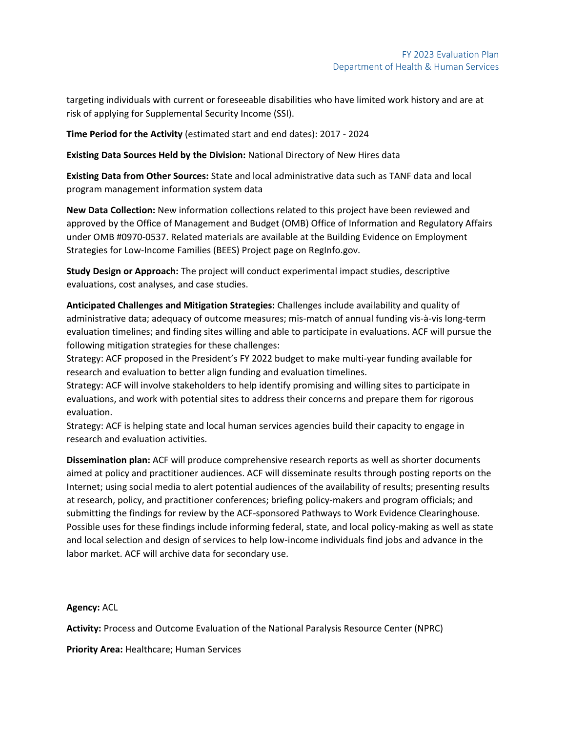targeting individuals with current or foreseeable disabilities who have limited work history and are at risk of applying for Supplemental Security Income (SSI).

**Time Period for the Activity** (estimated start and end dates): 2017 - 2024

**Existing Data Sources Held by the Division:** National Directory of New Hires data

**Existing Data from Other Sources:** State and local administrative data such as TANF data and local program management information system data

**New Data Collection:** New information collections related to this project have been reviewed and approved by the Office of Management and Budget (OMB) Office of Information and Regulatory Affairs under OMB #0970-0537. Related materials are available at the Building Evidence on Employment Strategies for Low-Income Families (BEES) Project page on RegInfo.gov.

**Study Design or Approach:** The project will conduct experimental impact studies, descriptive evaluations, cost analyses, and case studies.

**Anticipated Challenges and Mitigation Strategies:** Challenges include availability and quality of administrative data; adequacy of outcome measures; mis-match of annual funding vis-à-vis long-term evaluation timelines; and finding sites willing and able to participate in evaluations. ACF will pursue the following mitigation strategies for these challenges:

Strategy: ACF proposed in the President's FY 2022 budget to make multi-year funding available for research and evaluation to better align funding and evaluation timelines.

Strategy: ACF will involve stakeholders to help identify promising and willing sites to participate in evaluations, and work with potential sites to address their concerns and prepare them for rigorous evaluation.

Strategy: ACF is helping state and local human services agencies build their capacity to engage in research and evaluation activities.

**Dissemination plan:** ACF will produce comprehensive research reports as well as shorter documents aimed at policy and practitioner audiences. ACF will disseminate results through posting reports on the Internet; using social media to alert potential audiences of the availability of results; presenting results at research, policy, and practitioner conferences; briefing policy-makers and program officials; and submitting the findings for review by the ACF-sponsored Pathways to Work Evidence Clearinghouse. Possible uses for these findings include informing federal, state, and local policy-making as well as state and local selection and design of services to help low-income individuals find jobs and advance in the labor market. ACF will archive data for secondary use.

### **Agency:** ACL

**Activity:** Process and Outcome Evaluation of the National Paralysis Resource Center (NPRC)

**Priority Area:** Healthcare; Human Services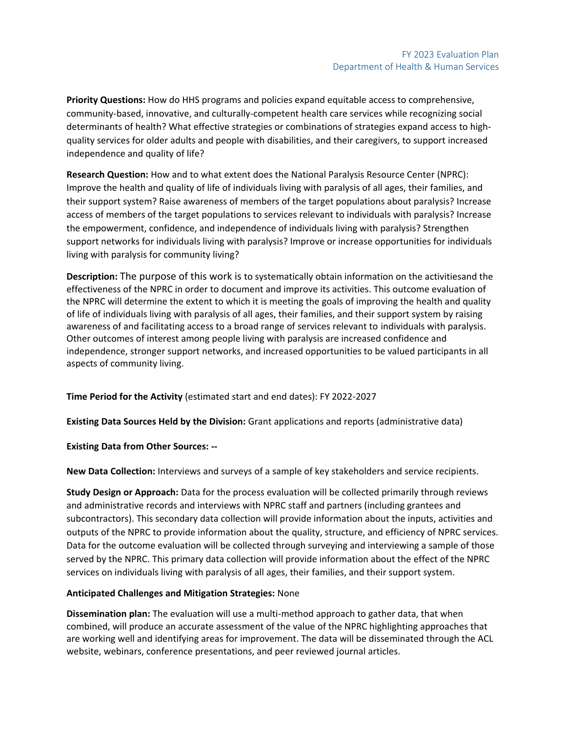**Priority Questions:** How do HHS programs and policies expand equitable access to comprehensive, community-based, innovative, and culturally-competent health care services while recognizing social determinants of health? What effective strategies or combinations of strategies expand access to highquality services for older adults and people with disabilities, and their caregivers, to support increased independence and quality of life?

**Research Question:** How and to what extent does the National Paralysis Resource Center (NPRC): Improve the health and quality of life of individuals living with paralysis of all ages, their families, and their support system? Raise awareness of members of the target populations about paralysis? Increase access of members of the target populations to services relevant to individuals with paralysis? Increase the empowerment, confidence, and independence of individuals living with paralysis? Strengthen support networks for individuals living with paralysis? Improve or increase opportunities for individuals living with paralysis for community living?

**Description:** The purpose of this work is to systematically obtain information on the activitiesand the effectiveness of the NPRC in order to document and improve its activities. This outcome evaluation of the NPRC will determine the extent to which it is meeting the goals of improving the health and quality of life of individuals living with paralysis of all ages, their families, and their support system by raising awareness of and facilitating access to a broad range of services relevant to individuals with paralysis. Other outcomes of interest among people living with paralysis are increased confidence and independence, stronger support networks, and increased opportunities to be valued participants in all aspects of community living.

**Time Period for the Activity** (estimated start and end dates): FY 2022-2027

**Existing Data Sources Held by the Division:** Grant applications and reports (administrative data)

**Existing Data from Other Sources: --**

**New Data Collection:** Interviews and surveys of a sample of key stakeholders and service recipients.

**Study Design or Approach:** Data for the process evaluation will be collected primarily through reviews and administrative records and interviews with NPRC staff and partners (including grantees and subcontractors). This secondary data collection will provide information about the inputs, activities and outputs of the NPRC to provide information about the quality, structure, and efficiency of NPRC services. Data for the outcome evaluation will be collected through surveying and interviewing a sample of those served by the NPRC. This primary data collection will provide information about the effect of the NPRC services on individuals living with paralysis of all ages, their families, and their support system.

# **Anticipated Challenges and Mitigation Strategies:** None

**Dissemination plan:** The evaluation will use a multi-method approach to gather data, that when combined, will produce an accurate assessment of the value of the NPRC highlighting approaches that are working well and identifying areas for improvement. The data will be disseminated through the ACL website, webinars, conference presentations, and peer reviewed journal articles.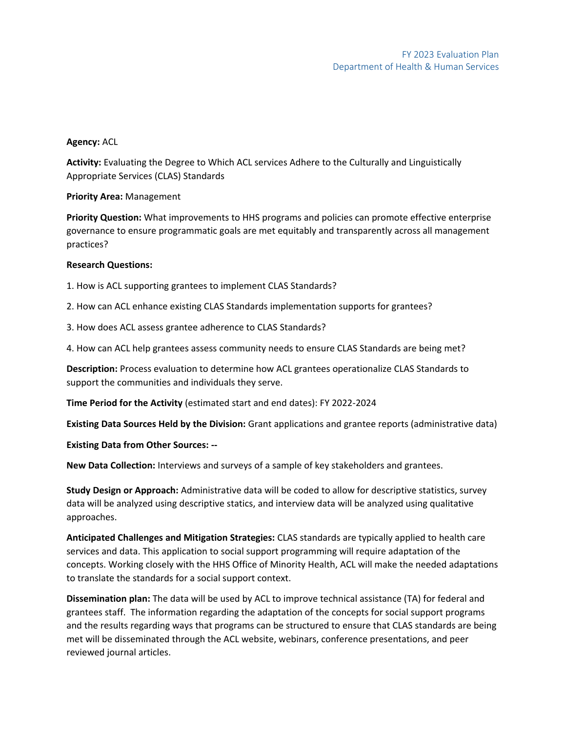### **Agency:** ACL

**Activity:** Evaluating the Degree to Which ACL services Adhere to the Culturally and Linguistically Appropriate Services (CLAS) Standards

### **Priority Area:** Management

**Priority Question:** What improvements to HHS programs and policies can promote effective enterprise governance to ensure programmatic goals are met equitably and transparently across all management practices?

## **Research Questions:**

1. How is ACL supporting grantees to implement CLAS Standards?

2. How can ACL enhance existing CLAS Standards implementation supports for grantees?

3. How does ACL assess grantee adherence to CLAS Standards?

4. How can ACL help grantees assess community needs to ensure CLAS Standards are being met?

**Description:** Process evaluation to determine how ACL grantees operationalize CLAS Standards to support the communities and individuals they serve.

**Time Period for the Activity** (estimated start and end dates): FY 2022-2024

**Existing Data Sources Held by the Division:** Grant applications and grantee reports (administrative data)

**Existing Data from Other Sources: --**

**New Data Collection:** Interviews and surveys of a sample of key stakeholders and grantees.

**Study Design or Approach:** Administrative data will be coded to allow for descriptive statistics, survey data will be analyzed using descriptive statics, and interview data will be analyzed using qualitative approaches.

**Anticipated Challenges and Mitigation Strategies:** CLAS standards are typically applied to health care services and data. This application to social support programming will require adaptation of the concepts. Working closely with the HHS Office of Minority Health, ACL will make the needed adaptations to translate the standards for a social support context.

**Dissemination plan:** The data will be used by ACL to improve technical assistance (TA) for federal and grantees staff. The information regarding the adaptation of the concepts for social support programs and the results regarding ways that programs can be structured to ensure that CLAS standards are being met will be disseminated through the ACL website, webinars, conference presentations, and peer reviewed journal articles.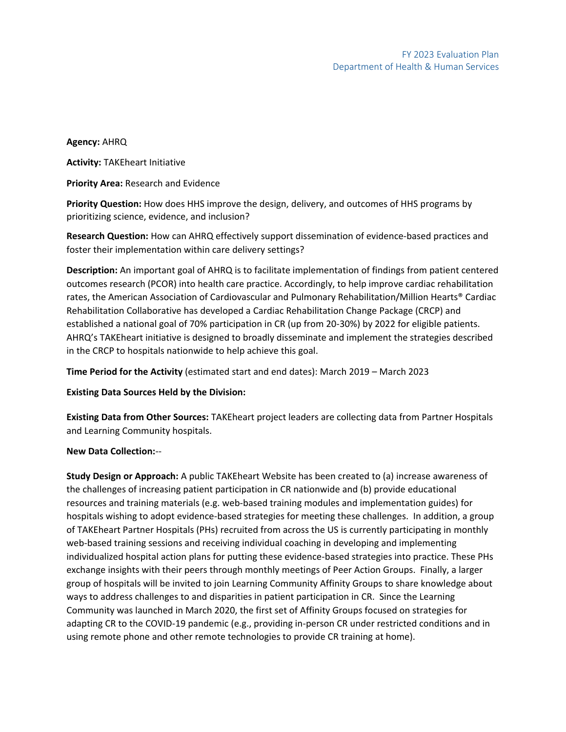### **Agency:** AHRQ

**Activity:** TAKEheart Initiative

**Priority Area:** Research and Evidence

**Priority Question:** How does HHS improve the design, delivery, and outcomes of HHS programs by prioritizing science, evidence, and inclusion?

**Research Question:** How can AHRQ effectively support dissemination of evidence-based practices and foster their implementation within care delivery settings?

**Description:** An important goal of AHRQ is to facilitate implementation of findings from patient centered outcomes research (PCOR) into health care practice. Accordingly, to help improve cardiac rehabilitation rates, the American Association of Cardiovascular and Pulmonary Rehabilitation/Million Hearts® Cardiac Rehabilitation Collaborative has developed a Cardiac Rehabilitation Change Package (CRCP) and established a national goal of 70% participation in CR (up from 20-30%) by 2022 for eligible patients. AHRQ's TAKEheart initiative is designed to broadly disseminate and implement the strategies described in the CRCP to hospitals nationwide to help achieve this goal.

**Time Period for the Activity** (estimated start and end dates): March 2019 – March 2023

**Existing Data Sources Held by the Division:**

**Existing Data from Other Sources:** TAKEheart project leaders are collecting data from Partner Hospitals and Learning Community hospitals.

### **New Data Collection:**--

**Study Design or Approach:** A public TAKEheart Website has been created to (a) increase awareness of the challenges of increasing patient participation in CR nationwide and (b) provide educational resources and training materials (e.g. web-based training modules and implementation guides) for hospitals wishing to adopt evidence-based strategies for meeting these challenges. In addition, a group of TAKEheart Partner Hospitals (PHs) recruited from across the US is currently participating in monthly web-based training sessions and receiving individual coaching in developing and implementing individualized hospital action plans for putting these evidence-based strategies into practice. These PHs exchange insights with their peers through monthly meetings of Peer Action Groups. Finally, a larger group of hospitals will be invited to join Learning Community Affinity Groups to share knowledge about ways to address challenges to and disparities in patient participation in CR. Since the Learning Community was launched in March 2020, the first set of Affinity Groups focused on strategies for adapting CR to the COVID-19 pandemic (e.g., providing in-person CR under restricted conditions and in using remote phone and other remote technologies to provide CR training at home).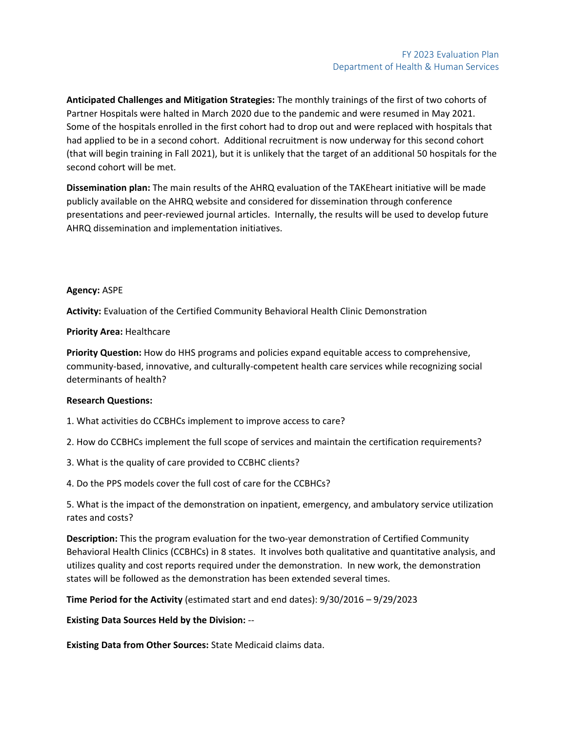**Anticipated Challenges and Mitigation Strategies:** The monthly trainings of the first of two cohorts of Partner Hospitals were halted in March 2020 due to the pandemic and were resumed in May 2021. Some of the hospitals enrolled in the first cohort had to drop out and were replaced with hospitals that had applied to be in a second cohort. Additional recruitment is now underway for this second cohort (that will begin training in Fall 2021), but it is unlikely that the target of an additional 50 hospitals for the second cohort will be met.

**Dissemination plan:** The main results of the AHRQ evaluation of the TAKEheart initiative will be made publicly available on the AHRQ website and considered for dissemination through conference presentations and peer-reviewed journal articles. Internally, the results will be used to develop future AHRQ dissemination and implementation initiatives.

#### **Agency:** ASPE

**Activity:** Evaluation of the Certified Community Behavioral Health Clinic Demonstration

#### **Priority Area:** Healthcare

**Priority Question:** How do HHS programs and policies expand equitable access to comprehensive, community-based, innovative, and culturally-competent health care services while recognizing social determinants of health?

#### **Research Questions:**

1. What activities do CCBHCs implement to improve access to care?

2. How do CCBHCs implement the full scope of services and maintain the certification requirements?

3. What is the quality of care provided to CCBHC clients?

4. Do the PPS models cover the full cost of care for the CCBHCs?

5. What is the impact of the demonstration on inpatient, emergency, and ambulatory service utilization rates and costs?

**Description:** This the program evaluation for the two-year demonstration of Certified Community Behavioral Health Clinics (CCBHCs) in 8 states. It involves both qualitative and quantitative analysis, and utilizes quality and cost reports required under the demonstration. In new work, the demonstration states will be followed as the demonstration has been extended several times.

**Time Period for the Activity** (estimated start and end dates): 9/30/2016 – 9/29/2023

**Existing Data Sources Held by the Division:** --

**Existing Data from Other Sources:** State Medicaid claims data.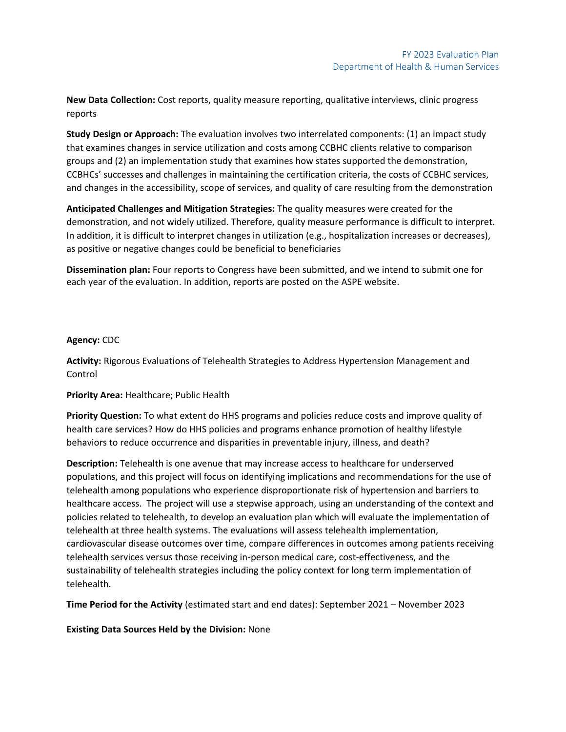**New Data Collection:** Cost reports, quality measure reporting, qualitative interviews, clinic progress reports

**Study Design or Approach:** The evaluation involves two interrelated components: (1) an impact study that examines changes in service utilization and costs among CCBHC clients relative to comparison groups and (2) an implementation study that examines how states supported the demonstration, CCBHCs' successes and challenges in maintaining the certification criteria, the costs of CCBHC services, and changes in the accessibility, scope of services, and quality of care resulting from the demonstration

**Anticipated Challenges and Mitigation Strategies:** The quality measures were created for the demonstration, and not widely utilized. Therefore, quality measure performance is difficult to interpret. In addition, it is difficult to interpret changes in utilization (e.g., hospitalization increases or decreases), as positive or negative changes could be beneficial to beneficiaries

**Dissemination plan:** Four reports to Congress have been submitted, and we intend to submit one for each year of the evaluation. In addition, reports are posted on the ASPE website.

### **Agency:** CDC

**Activity:** Rigorous Evaluations of Telehealth Strategies to Address Hypertension Management and Control

**Priority Area:** Healthcare; Public Health

**Priority Question:** To what extent do HHS programs and policies reduce costs and improve quality of health care services? How do HHS policies and programs enhance promotion of healthy lifestyle behaviors to reduce occurrence and disparities in preventable injury, illness, and death?

**Description:** Telehealth is one avenue that may increase access to healthcare for underserved populations, and this project will focus on identifying implications and recommendations for the use of telehealth among populations who experience disproportionate risk of hypertension and barriers to healthcare access. The project will use a stepwise approach, using an understanding of the context and policies related to telehealth, to develop an evaluation plan which will evaluate the implementation of telehealth at three health systems. The evaluations will assess telehealth implementation, cardiovascular disease outcomes over time, compare differences in outcomes among patients receiving telehealth services versus those receiving in-person medical care, cost-effectiveness, and the sustainability of telehealth strategies including the policy context for long term implementation of telehealth.

**Time Period for the Activity** (estimated start and end dates): September 2021 – November 2023

**Existing Data Sources Held by the Division:** None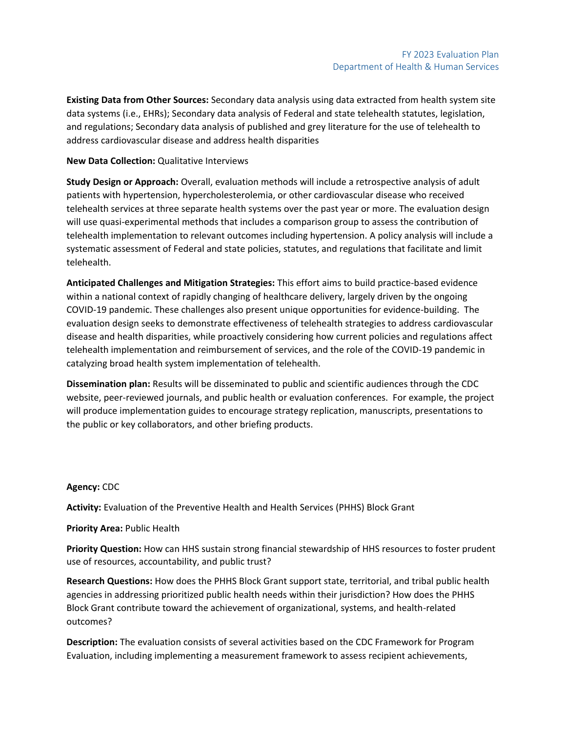**Existing Data from Other Sources:** Secondary data analysis using data extracted from health system site data systems (i.e., EHRs); Secondary data analysis of Federal and state telehealth statutes, legislation, and regulations; Secondary data analysis of published and grey literature for the use of telehealth to address cardiovascular disease and address health disparities

#### **New Data Collection:** Qualitative Interviews

**Study Design or Approach:** Overall, evaluation methods will include a retrospective analysis of adult patients with hypertension, hypercholesterolemia, or other cardiovascular disease who received telehealth services at three separate health systems over the past year or more. The evaluation design will use quasi-experimental methods that includes a comparison group to assess the contribution of telehealth implementation to relevant outcomes including hypertension. A policy analysis will include a systematic assessment of Federal and state policies, statutes, and regulations that facilitate and limit telehealth.

**Anticipated Challenges and Mitigation Strategies:** This effort aims to build practice-based evidence within a national context of rapidly changing of healthcare delivery, largely driven by the ongoing COVID-19 pandemic. These challenges also present unique opportunities for evidence-building. The evaluation design seeks to demonstrate effectiveness of telehealth strategies to address cardiovascular disease and health disparities, while proactively considering how current policies and regulations affect telehealth implementation and reimbursement of services, and the role of the COVID-19 pandemic in catalyzing broad health system implementation of telehealth.

**Dissemination plan:** Results will be disseminated to public and scientific audiences through the CDC website, peer-reviewed journals, and public health or evaluation conferences. For example, the project will produce implementation guides to encourage strategy replication, manuscripts, presentations to the public or key collaborators, and other briefing products.

#### **Agency:** CDC

**Activity:** Evaluation of the Preventive Health and Health Services (PHHS) Block Grant

### **Priority Area:** Public Health

**Priority Question:** How can HHS sustain strong financial stewardship of HHS resources to foster prudent use of resources, accountability, and public trust?

**Research Questions:** How does the PHHS Block Grant support state, territorial, and tribal public health agencies in addressing prioritized public health needs within their jurisdiction? How does the PHHS Block Grant contribute toward the achievement of organizational, systems, and health-related outcomes?

**Description:** The evaluation consists of several activities based on the CDC Framework for Program Evaluation, including implementing a measurement framework to assess recipient achievements,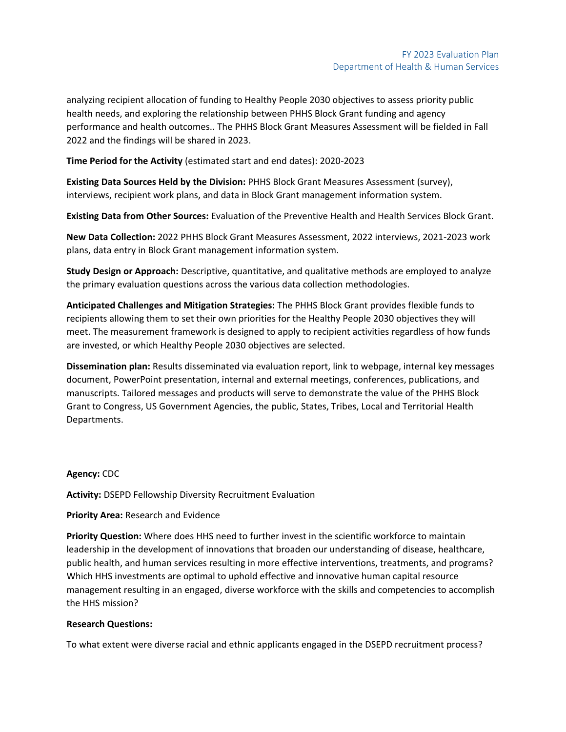analyzing recipient allocation of funding to Healthy People 2030 objectives to assess priority public health needs, and exploring the relationship between PHHS Block Grant funding and agency performance and health outcomes.. The PHHS Block Grant Measures Assessment will be fielded in Fall 2022 and the findings will be shared in 2023.

**Time Period for the Activity** (estimated start and end dates): 2020-2023

**Existing Data Sources Held by the Division:** PHHS Block Grant Measures Assessment (survey), interviews, recipient work plans, and data in Block Grant management information system.

**Existing Data from Other Sources:** Evaluation of the Preventive Health and Health Services Block Grant.

**New Data Collection:** 2022 PHHS Block Grant Measures Assessment, 2022 interviews, 2021-2023 work plans, data entry in Block Grant management information system.

**Study Design or Approach:** Descriptive, quantitative, and qualitative methods are employed to analyze the primary evaluation questions across the various data collection methodologies.

**Anticipated Challenges and Mitigation Strategies:** The PHHS Block Grant provides flexible funds to recipients allowing them to set their own priorities for the Healthy People 2030 objectives they will meet. The measurement framework is designed to apply to recipient activities regardless of how funds are invested, or which Healthy People 2030 objectives are selected.

**Dissemination plan:** Results disseminated via evaluation report, link to webpage, internal key messages document, PowerPoint presentation, internal and external meetings, conferences, publications, and manuscripts. Tailored messages and products will serve to demonstrate the value of the PHHS Block Grant to Congress, US Government Agencies, the public, States, Tribes, Local and Territorial Health Departments.

#### **Agency:** CDC

**Activity:** DSEPD Fellowship Diversity Recruitment Evaluation

#### **Priority Area:** Research and Evidence

**Priority Question:** Where does HHS need to further invest in the scientific workforce to maintain leadership in the development of innovations that broaden our understanding of disease, healthcare, public health, and human services resulting in more effective interventions, treatments, and programs? Which HHS investments are optimal to uphold effective and innovative human capital resource management resulting in an engaged, diverse workforce with the skills and competencies to accomplish the HHS mission?

#### **Research Questions:**

To what extent were diverse racial and ethnic applicants engaged in the DSEPD recruitment process?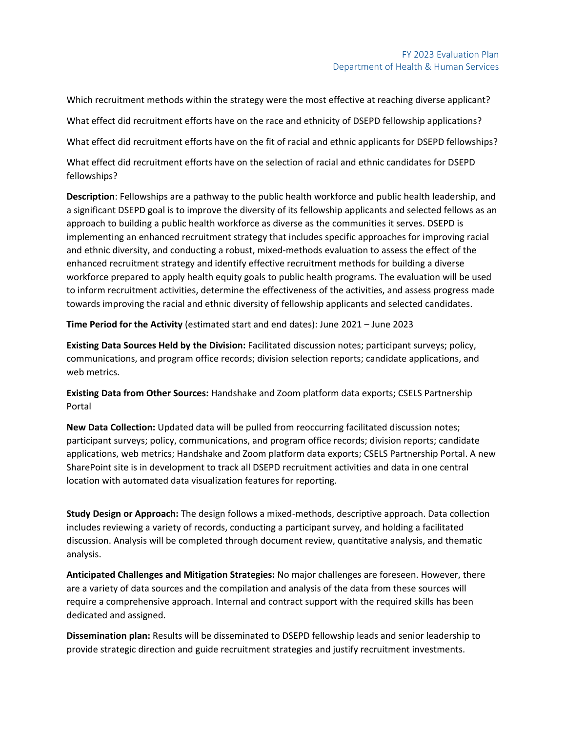Which recruitment methods within the strategy were the most effective at reaching diverse applicant? What effect did recruitment efforts have on the race and ethnicity of DSEPD fellowship applications? What effect did recruitment efforts have on the fit of racial and ethnic applicants for DSEPD fellowships?

What effect did recruitment efforts have on the selection of racial and ethnic candidates for DSEPD fellowships?

**Description**: Fellowships are a pathway to the public health workforce and public health leadership, and a significant DSEPD goal is to improve the diversity of its fellowship applicants and selected fellows as an approach to building a public health workforce as diverse as the communities it serves. DSEPD is implementing an enhanced recruitment strategy that includes specific approaches for improving racial and ethnic diversity, and conducting a robust, mixed-methods evaluation to assess the effect of the enhanced recruitment strategy and identify effective recruitment methods for building a diverse workforce prepared to apply health equity goals to public health programs. The evaluation will be used to inform recruitment activities, determine the effectiveness of the activities, and assess progress made towards improving the racial and ethnic diversity of fellowship applicants and selected candidates.

**Time Period for the Activity** (estimated start and end dates): June 2021 – June 2023

**Existing Data Sources Held by the Division:** Facilitated discussion notes; participant surveys; policy, communications, and program office records; division selection reports; candidate applications, and web metrics.

**Existing Data from Other Sources:** Handshake and Zoom platform data exports; CSELS Partnership Portal

**New Data Collection:** Updated data will be pulled from reoccurring facilitated discussion notes; participant surveys; policy, communications, and program office records; division reports; candidate applications, web metrics; Handshake and Zoom platform data exports; CSELS Partnership Portal. A new SharePoint site is in development to track all DSEPD recruitment activities and data in one central location with automated data visualization features for reporting.

**Study Design or Approach:** The design follows a mixed-methods, descriptive approach. Data collection includes reviewing a variety of records, conducting a participant survey, and holding a facilitated discussion. Analysis will be completed through document review, quantitative analysis, and thematic analysis.

**Anticipated Challenges and Mitigation Strategies:** No major challenges are foreseen. However, there are a variety of data sources and the compilation and analysis of the data from these sources will require a comprehensive approach. Internal and contract support with the required skills has been dedicated and assigned.

**Dissemination plan:** Results will be disseminated to DSEPD fellowship leads and senior leadership to provide strategic direction and guide recruitment strategies and justify recruitment investments.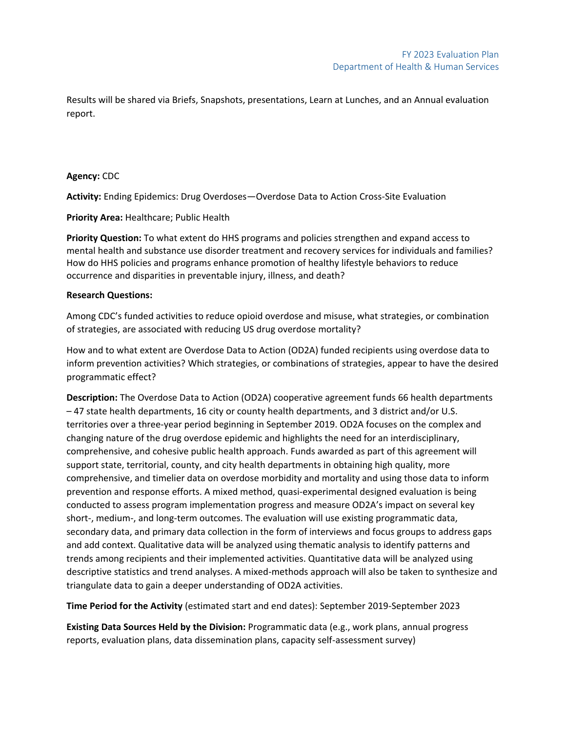Results will be shared via Briefs, Snapshots, presentations, Learn at Lunches, and an Annual evaluation report.

#### **Agency:** CDC

**Activity:** Ending Epidemics: Drug Overdoses—Overdose Data to Action Cross-Site Evaluation

**Priority Area:** Healthcare; Public Health

**Priority Question:** To what extent do HHS programs and policies strengthen and expand access to mental health and substance use disorder treatment and recovery services for individuals and families? How do HHS policies and programs enhance promotion of healthy lifestyle behaviors to reduce occurrence and disparities in preventable injury, illness, and death?

#### **Research Questions:**

Among CDC's funded activities to reduce opioid overdose and misuse, what strategies, or combination of strategies, are associated with reducing US drug overdose mortality?

How and to what extent are Overdose Data to Action (OD2A) funded recipients using overdose data to inform prevention activities? Which strategies, or combinations of strategies, appear to have the desired programmatic effect?

**Description:** The Overdose Data to Action (OD2A) cooperative agreement funds 66 health departments – 47 state health departments, 16 city or county health departments, and 3 district and/or U.S. territories over a three-year period beginning in September 2019. OD2A focuses on the complex and changing nature of the drug overdose epidemic and highlights the need for an interdisciplinary, comprehensive, and cohesive public health approach. Funds awarded as part of this agreement will support state, territorial, county, and city health departments in obtaining high quality, more comprehensive, and timelier data on overdose morbidity and mortality and using those data to inform prevention and response efforts. A mixed method, quasi-experimental designed evaluation is being conducted to assess program implementation progress and measure OD2A's impact on several key short-, medium-, and long-term outcomes. The evaluation will use existing programmatic data, secondary data, and primary data collection in the form of interviews and focus groups to address gaps and add context. Qualitative data will be analyzed using thematic analysis to identify patterns and trends among recipients and their implemented activities. Quantitative data will be analyzed using descriptive statistics and trend analyses. A mixed-methods approach will also be taken to synthesize and triangulate data to gain a deeper understanding of OD2A activities.

**Time Period for the Activity** (estimated start and end dates): September 2019-September 2023

**Existing Data Sources Held by the Division:** Programmatic data (e.g., work plans, annual progress reports, evaluation plans, data dissemination plans, capacity self-assessment survey)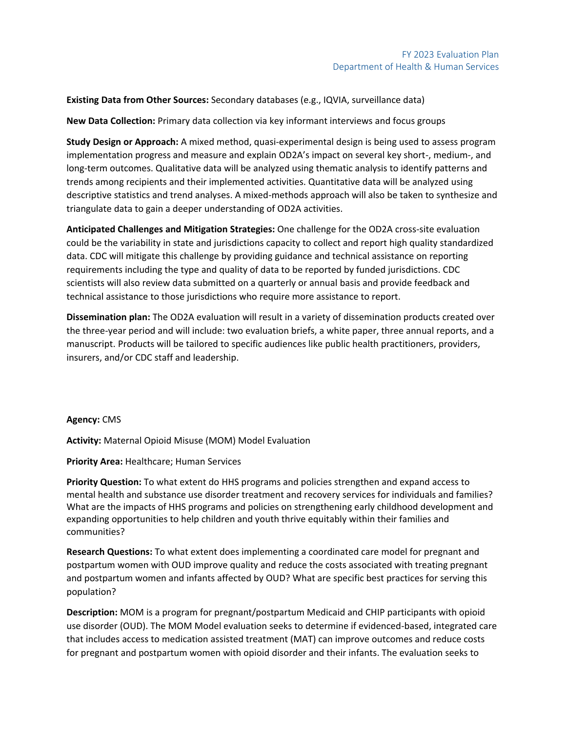**Existing Data from Other Sources:** Secondary databases (e.g., IQVIA, surveillance data)

**New Data Collection:** Primary data collection via key informant interviews and focus groups

**Study Design or Approach:** A mixed method, quasi-experimental design is being used to assess program implementation progress and measure and explain OD2A's impact on several key short-, medium-, and long-term outcomes. Qualitative data will be analyzed using thematic analysis to identify patterns and trends among recipients and their implemented activities. Quantitative data will be analyzed using descriptive statistics and trend analyses. A mixed-methods approach will also be taken to synthesize and triangulate data to gain a deeper understanding of OD2A activities.

**Anticipated Challenges and Mitigation Strategies:** One challenge for the OD2A cross-site evaluation could be the variability in state and jurisdictions capacity to collect and report high quality standardized data. CDC will mitigate this challenge by providing guidance and technical assistance on reporting requirements including the type and quality of data to be reported by funded jurisdictions. CDC scientists will also review data submitted on a quarterly or annual basis and provide feedback and technical assistance to those jurisdictions who require more assistance to report.

**Dissemination plan:** The OD2A evaluation will result in a variety of dissemination products created over the three-year period and will include: two evaluation briefs, a white paper, three annual reports, and a manuscript. Products will be tailored to specific audiences like public health practitioners, providers, insurers, and/or CDC staff and leadership.

**Agency:** CMS

**Activity:** Maternal Opioid Misuse (MOM) Model Evaluation

**Priority Area:** Healthcare; Human Services

**Priority Question:** To what extent do HHS programs and policies strengthen and expand access to mental health and substance use disorder treatment and recovery services for individuals and families? What are the impacts of HHS programs and policies on strengthening early childhood development and expanding opportunities to help children and youth thrive equitably within their families and communities?

**Research Questions:** To what extent does implementing a coordinated care model for pregnant and postpartum women with OUD improve quality and reduce the costs associated with treating pregnant and postpartum women and infants affected by OUD? What are specific best practices for serving this population?

**Description:** MOM is a program for pregnant/postpartum Medicaid and CHIP participants with opioid use disorder (OUD). The MOM Model evaluation seeks to determine if evidenced-based, integrated care that includes access to medication assisted treatment (MAT) can improve outcomes and reduce costs for pregnant and postpartum women with opioid disorder and their infants. The evaluation seeks to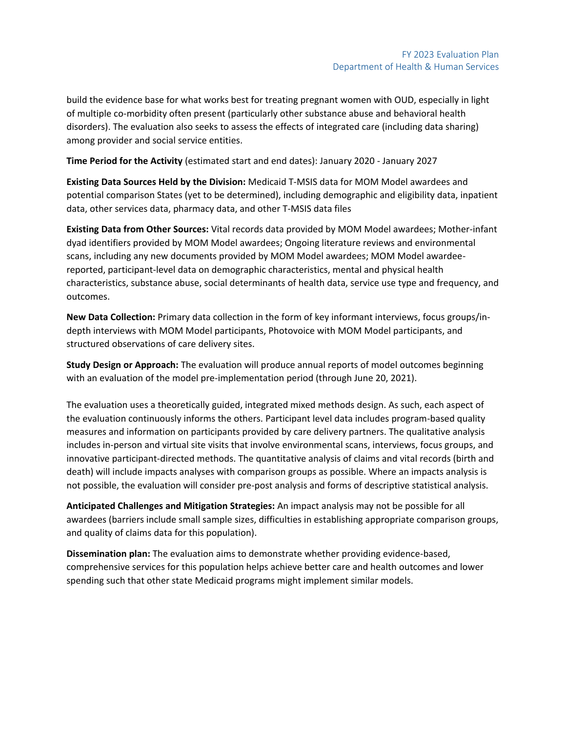build the evidence base for what works best for treating pregnant women with OUD, especially in light of multiple co-morbidity often present (particularly other substance abuse and behavioral health disorders). The evaluation also seeks to assess the effects of integrated care (including data sharing) among provider and social service entities.

**Time Period for the Activity** (estimated start and end dates): January 2020 - January 2027

**Existing Data Sources Held by the Division:** Medicaid T-MSIS data for MOM Model awardees and potential comparison States (yet to be determined), including demographic and eligibility data, inpatient data, other services data, pharmacy data, and other T-MSIS data files

**Existing Data from Other Sources:** Vital records data provided by MOM Model awardees; Mother-infant dyad identifiers provided by MOM Model awardees; Ongoing literature reviews and environmental scans, including any new documents provided by MOM Model awardees; MOM Model awardeereported, participant-level data on demographic characteristics, mental and physical health characteristics, substance abuse, social determinants of health data, service use type and frequency, and outcomes.

**New Data Collection:** Primary data collection in the form of key informant interviews, focus groups/indepth interviews with MOM Model participants, Photovoice with MOM Model participants, and structured observations of care delivery sites.

**Study Design or Approach:** The evaluation will produce annual reports of model outcomes beginning with an evaluation of the model pre-implementation period (through June 20, 2021).

The evaluation uses a theoretically guided, integrated mixed methods design. As such, each aspect of the evaluation continuously informs the others. Participant level data includes program-based quality measures and information on participants provided by care delivery partners. The qualitative analysis includes in-person and virtual site visits that involve environmental scans, interviews, focus groups, and innovative participant-directed methods. The quantitative analysis of claims and vital records (birth and death) will include impacts analyses with comparison groups as possible. Where an impacts analysis is not possible, the evaluation will consider pre-post analysis and forms of descriptive statistical analysis.

**Anticipated Challenges and Mitigation Strategies:** An impact analysis may not be possible for all awardees (barriers include small sample sizes, difficulties in establishing appropriate comparison groups, and quality of claims data for this population).

**Dissemination plan:** The evaluation aims to demonstrate whether providing evidence-based, comprehensive services for this population helps achieve better care and health outcomes and lower spending such that other state Medicaid programs might implement similar models.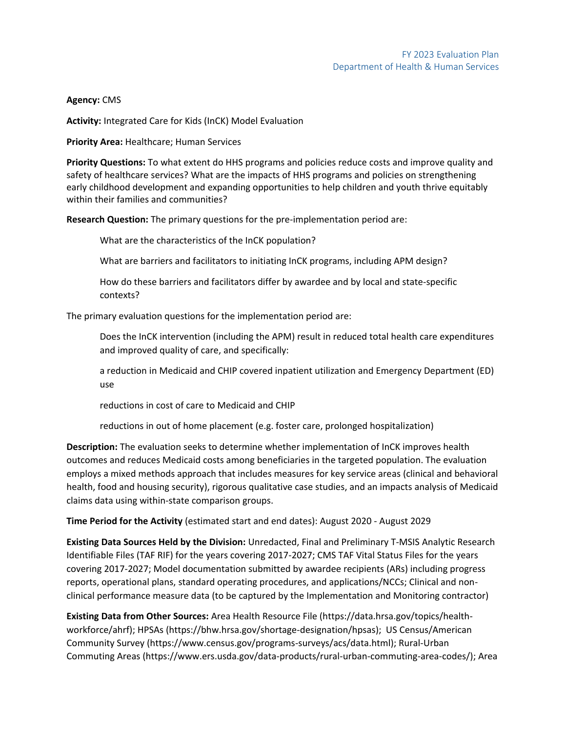### **Agency:** CMS

**Activity:** Integrated Care for Kids (InCK) Model Evaluation

**Priority Area:** Healthcare; Human Services

**Priority Questions:** To what extent do HHS programs and policies reduce costs and improve quality and safety of healthcare services? What are the impacts of HHS programs and policies on strengthening early childhood development and expanding opportunities to help children and youth thrive equitably within their families and communities?

**Research Question:** The primary questions for the pre-implementation period are:

What are the characteristics of the InCK population?

What are barriers and facilitators to initiating InCK programs, including APM design?

How do these barriers and facilitators differ by awardee and by local and state-specific contexts?

The primary evaluation questions for the implementation period are:

Does the InCK intervention (including the APM) result in reduced total health care expenditures and improved quality of care, and specifically:

a reduction in Medicaid and CHIP covered inpatient utilization and Emergency Department (ED) use

reductions in cost of care to Medicaid and CHIP

reductions in out of home placement (e.g. foster care, prolonged hospitalization)

**Description:** The evaluation seeks to determine whether implementation of InCK improves health outcomes and reduces Medicaid costs among beneficiaries in the targeted population. The evaluation employs a mixed methods approach that includes measures for key service areas (clinical and behavioral health, food and housing security), rigorous qualitative case studies, and an impacts analysis of Medicaid claims data using within-state comparison groups.

**Time Period for the Activity** (estimated start and end dates): August 2020 - August 2029

**Existing Data Sources Held by the Division:** Unredacted, Final and Preliminary T-MSIS Analytic Research Identifiable Files (TAF RIF) for the years covering 2017-2027; CMS TAF Vital Status Files for the years covering 2017-2027; Model documentation submitted by awardee recipients (ARs) including progress reports, operational plans, standard operating procedures, and applications/NCCs; Clinical and nonclinical performance measure data (to be captured by the Implementation and Monitoring contractor)

**Existing Data from Other Sources:** Area Health Resource File (https://data.hrsa.gov/topics/healthworkforce/ahrf); HPSAs (https://bhw.hrsa.gov/shortage-designation/hpsas); US Census/American Community Survey (https://www.census.gov/programs-surveys/acs/data.html); Rural-Urban Commuting Areas (https://www.ers.usda.gov/data-products/rural-urban-commuting-area-codes/); Area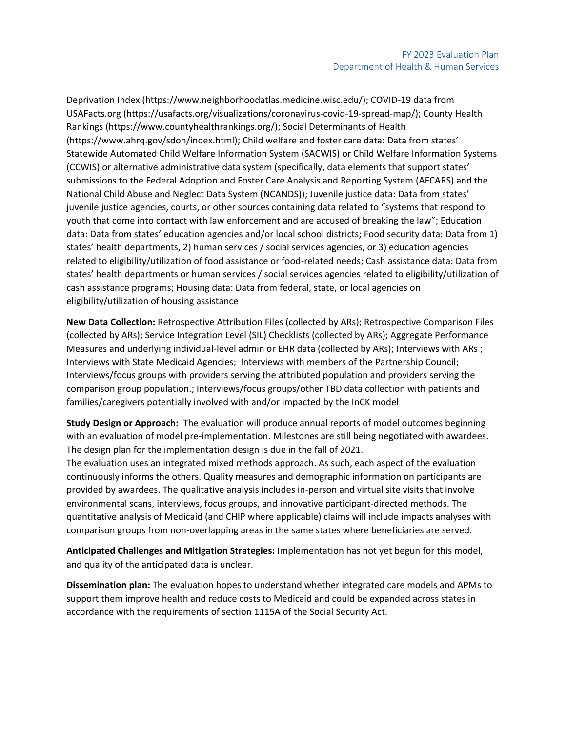Deprivation Index (https://www.neighborhoodatlas.medicine.wisc.edu/); COVID-19 data from USAFacts.org (https://usafacts.org/visualizations/coronavirus-covid-19-spread-map/); County Health Rankings (https://www.countyhealthrankings.org/); Social Determinants of Health (https://www.ahrq.gov/sdoh/index.html); Child welfare and foster care data: Data from states' Statewide Automated Child Welfare Information System (SACWIS) or Child Welfare Information Systems (CCWIS) or alternative administrative data system (specifically, data elements that support states' submissions to the Federal Adoption and Foster Care Analysis and Reporting System (AFCARS) and the National Child Abuse and Neglect Data System (NCANDS)); Juvenile justice data: Data from states' juvenile justice agencies, courts, or other sources containing data related to "systems that respond to youth that come into contact with law enforcement and are accused of breaking the law"; Education data: Data from states' education agencies and/or local school districts; Food security data: Data from 1) states' health departments, 2) human services / social services agencies, or 3) education agencies related to eligibility/utilization of food assistance or food-related needs; Cash assistance data: Data from states' health departments or human services / social services agencies related to eligibility/utilization of cash assistance programs; Housing data: Data from federal, state, or local agencies on eligibility/utilization of housing assistance

**New Data Collection:** Retrospective Attribution Files (collected by ARs); Retrospective Comparison Files (collected by ARs); Service Integration Level (SIL) Checklists (collected by ARs); Aggregate Performance Measures and underlying individual-level admin or EHR data (collected by ARs); Interviews with ARs ; Interviews with State Medicaid Agencies; Interviews with members of the Partnership Council; Interviews/focus groups with providers serving the attributed population and providers serving the comparison group population.; Interviews/focus groups/other TBD data collection with patients and families/caregivers potentially involved with and/or impacted by the InCK model

**Study Design or Approach:** The evaluation will produce annual reports of model outcomes beginning with an evaluation of model pre-implementation. Milestones are still being negotiated with awardees. The design plan for the implementation design is due in the fall of 2021.

The evaluation uses an integrated mixed methods approach. As such, each aspect of the evaluation continuously informs the others. Quality measures and demographic information on participants are provided by awardees. The qualitative analysis includes in-person and virtual site visits that involve environmental scans, interviews, focus groups, and innovative participant-directed methods. The quantitative analysis of Medicaid (and CHIP where applicable) claims will include impacts analyses with comparison groups from non-overlapping areas in the same states where beneficiaries are served.

**Anticipated Challenges and Mitigation Strategies:** Implementation has not yet begun for this model, and quality of the anticipated data is unclear.

**Dissemination plan:** The evaluation hopes to understand whether integrated care models and APMs to support them improve health and reduce costs to Medicaid and could be expanded across states in accordance with the requirements of section 1115A of the Social Security Act.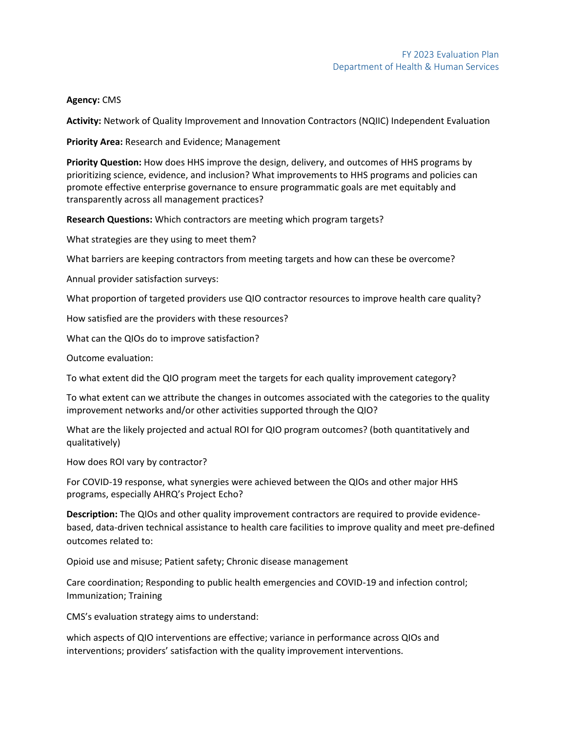#### **Agency:** CMS

**Activity:** Network of Quality Improvement and Innovation Contractors (NQIIC) Independent Evaluation

**Priority Area:** Research and Evidence; Management

**Priority Question:** How does HHS improve the design, delivery, and outcomes of HHS programs by prioritizing science, evidence, and inclusion? What improvements to HHS programs and policies can promote effective enterprise governance to ensure programmatic goals are met equitably and transparently across all management practices?

**Research Questions:** Which contractors are meeting which program targets?

What strategies are they using to meet them?

What barriers are keeping contractors from meeting targets and how can these be overcome?

Annual provider satisfaction surveys:

What proportion of targeted providers use QIO contractor resources to improve health care quality?

How satisfied are the providers with these resources?

What can the QIOs do to improve satisfaction?

Outcome evaluation:

To what extent did the QIO program meet the targets for each quality improvement category?

To what extent can we attribute the changes in outcomes associated with the categories to the quality improvement networks and/or other activities supported through the QIO?

What are the likely projected and actual ROI for QIO program outcomes? (both quantitatively and qualitatively)

How does ROI vary by contractor?

For COVID-19 response, what synergies were achieved between the QIOs and other major HHS programs, especially AHRQ's Project Echo?

**Description:** The QIOs and other quality improvement contractors are required to provide evidencebased, data-driven technical assistance to health care facilities to improve quality and meet pre-defined outcomes related to:

Opioid use and misuse; Patient safety; Chronic disease management

Care coordination; Responding to public health emergencies and COVID-19 and infection control; Immunization; Training

CMS's evaluation strategy aims to understand:

which aspects of QIO interventions are effective; variance in performance across QIOs and interventions; providers' satisfaction with the quality improvement interventions.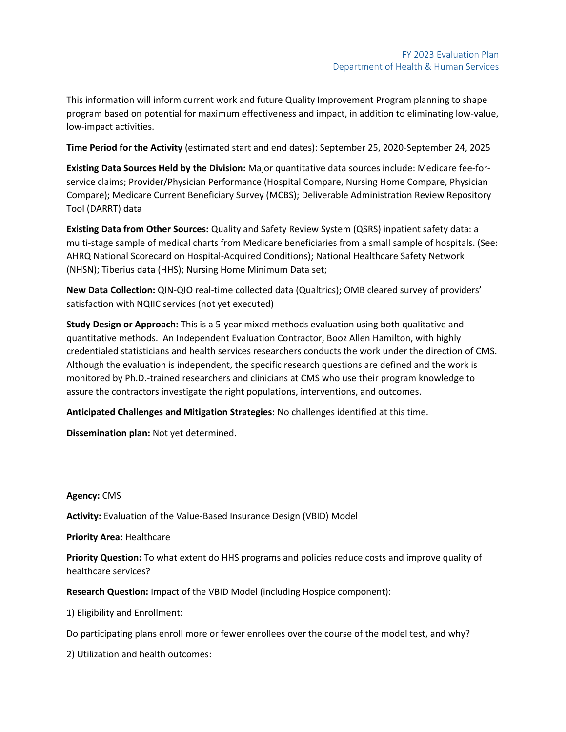This information will inform current work and future Quality Improvement Program planning to shape program based on potential for maximum effectiveness and impact, in addition to eliminating low-value, low-impact activities.

**Time Period for the Activity** (estimated start and end dates): September 25, 2020-September 24, 2025

**Existing Data Sources Held by the Division:** Major quantitative data sources include: Medicare fee-forservice claims; Provider/Physician Performance (Hospital Compare, Nursing Home Compare, Physician Compare); Medicare Current Beneficiary Survey (MCBS); Deliverable Administration Review Repository Tool (DARRT) data

**Existing Data from Other Sources:** Quality and Safety Review System (QSRS) inpatient safety data: a multi-stage sample of medical charts from Medicare beneficiaries from a small sample of hospitals. (See: AHRQ National Scorecard on Hospital-Acquired Conditions); National Healthcare Safety Network (NHSN); Tiberius data (HHS); Nursing Home Minimum Data set;

**New Data Collection:** QIN-QIO real-time collected data (Qualtrics); OMB cleared survey of providers' satisfaction with NQIIC services (not yet executed)

**Study Design or Approach:** This is a 5-year mixed methods evaluation using both qualitative and quantitative methods. An Independent Evaluation Contractor, Booz Allen Hamilton, with highly credentialed statisticians and health services researchers conducts the work under the direction of CMS. Although the evaluation is independent, the specific research questions are defined and the work is monitored by Ph.D.-trained researchers and clinicians at CMS who use their program knowledge to assure the contractors investigate the right populations, interventions, and outcomes.

**Anticipated Challenges and Mitigation Strategies:** No challenges identified at this time.

**Dissemination plan:** Not yet determined.

**Agency:** CMS

**Activity:** Evaluation of the Value-Based Insurance Design (VBID) Model

**Priority Area:** Healthcare

**Priority Question:** To what extent do HHS programs and policies reduce costs and improve quality of healthcare services?

**Research Question:** Impact of the VBID Model (including Hospice component):

1) Eligibility and Enrollment:

Do participating plans enroll more or fewer enrollees over the course of the model test, and why?

2) Utilization and health outcomes: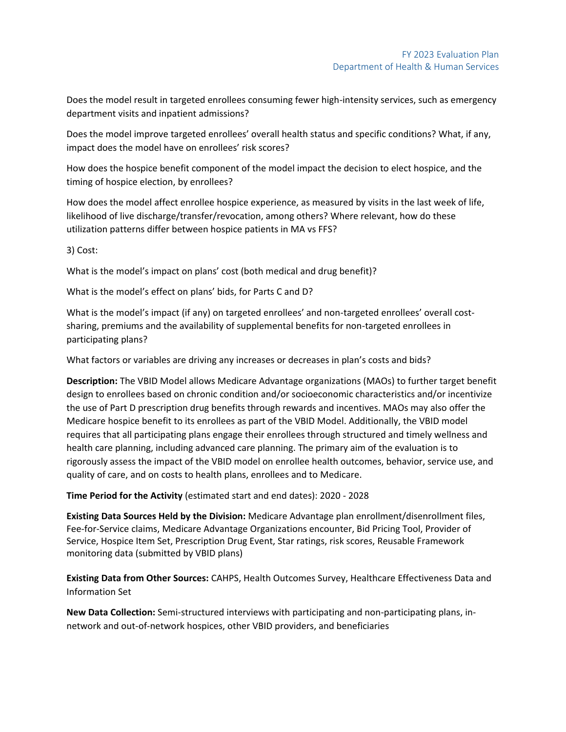Does the model result in targeted enrollees consuming fewer high-intensity services, such as emergency department visits and inpatient admissions?

Does the model improve targeted enrollees' overall health status and specific conditions? What, if any, impact does the model have on enrollees' risk scores?

How does the hospice benefit component of the model impact the decision to elect hospice, and the timing of hospice election, by enrollees?

How does the model affect enrollee hospice experience, as measured by visits in the last week of life, likelihood of live discharge/transfer/revocation, among others? Where relevant, how do these utilization patterns differ between hospice patients in MA vs FFS?

3) Cost:

What is the model's impact on plans' cost (both medical and drug benefit)?

What is the model's effect on plans' bids, for Parts C and D?

What is the model's impact (if any) on targeted enrollees' and non-targeted enrollees' overall costsharing, premiums and the availability of supplemental benefits for non-targeted enrollees in participating plans?

What factors or variables are driving any increases or decreases in plan's costs and bids?

**Description:** The VBID Model allows Medicare Advantage organizations (MAOs) to further target benefit design to enrollees based on chronic condition and/or socioeconomic characteristics and/or incentivize the use of Part D prescription drug benefits through rewards and incentives. MAOs may also offer the Medicare hospice benefit to its enrollees as part of the VBID Model. Additionally, the VBID model requires that all participating plans engage their enrollees through structured and timely wellness and health care planning, including advanced care planning. The primary aim of the evaluation is to rigorously assess the impact of the VBID model on enrollee health outcomes, behavior, service use, and quality of care, and on costs to health plans, enrollees and to Medicare.

**Time Period for the Activity** (estimated start and end dates): 2020 - 2028

**Existing Data Sources Held by the Division:** Medicare Advantage plan enrollment/disenrollment files, Fee-for-Service claims, Medicare Advantage Organizations encounter, Bid Pricing Tool, Provider of Service, Hospice Item Set, Prescription Drug Event, Star ratings, risk scores, Reusable Framework monitoring data (submitted by VBID plans)

**Existing Data from Other Sources:** CAHPS, Health Outcomes Survey, Healthcare Effectiveness Data and Information Set

**New Data Collection:** Semi-structured interviews with participating and non-participating plans, innetwork and out-of-network hospices, other VBID providers, and beneficiaries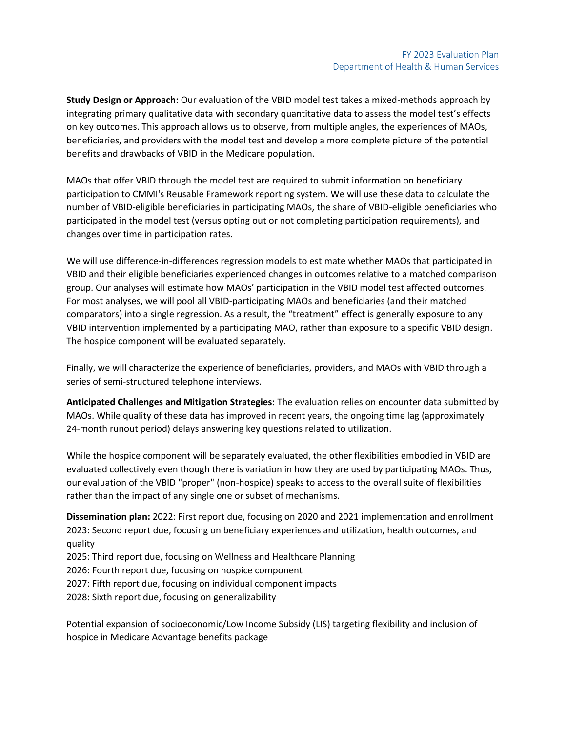**Study Design or Approach:** Our evaluation of the VBID model test takes a mixed-methods approach by integrating primary qualitative data with secondary quantitative data to assess the model test's effects on key outcomes. This approach allows us to observe, from multiple angles, the experiences of MAOs, beneficiaries, and providers with the model test and develop a more complete picture of the potential benefits and drawbacks of VBID in the Medicare population.

MAOs that offer VBID through the model test are required to submit information on beneficiary participation to CMMI's Reusable Framework reporting system. We will use these data to calculate the number of VBID-eligible beneficiaries in participating MAOs, the share of VBID-eligible beneficiaries who participated in the model test (versus opting out or not completing participation requirements), and changes over time in participation rates.

We will use difference-in-differences regression models to estimate whether MAOs that participated in VBID and their eligible beneficiaries experienced changes in outcomes relative to a matched comparison group. Our analyses will estimate how MAOs' participation in the VBID model test affected outcomes. For most analyses, we will pool all VBID-participating MAOs and beneficiaries (and their matched comparators) into a single regression. As a result, the "treatment" effect is generally exposure to any VBID intervention implemented by a participating MAO, rather than exposure to a specific VBID design. The hospice component will be evaluated separately.

Finally, we will characterize the experience of beneficiaries, providers, and MAOs with VBID through a series of semi-structured telephone interviews.

**Anticipated Challenges and Mitigation Strategies:** The evaluation relies on encounter data submitted by MAOs. While quality of these data has improved in recent years, the ongoing time lag (approximately 24-month runout period) delays answering key questions related to utilization.

While the hospice component will be separately evaluated, the other flexibilities embodied in VBID are evaluated collectively even though there is variation in how they are used by participating MAOs. Thus, our evaluation of the VBID "proper" (non-hospice) speaks to access to the overall suite of flexibilities rather than the impact of any single one or subset of mechanisms.

**Dissemination plan:** 2022: First report due, focusing on 2020 and 2021 implementation and enrollment 2023: Second report due, focusing on beneficiary experiences and utilization, health outcomes, and quality

2025: Third report due, focusing on Wellness and Healthcare Planning

2026: Fourth report due, focusing on hospice component

2027: Fifth report due, focusing on individual component impacts

2028: Sixth report due, focusing on generalizability

Potential expansion of socioeconomic/Low Income Subsidy (LIS) targeting flexibility and inclusion of hospice in Medicare Advantage benefits package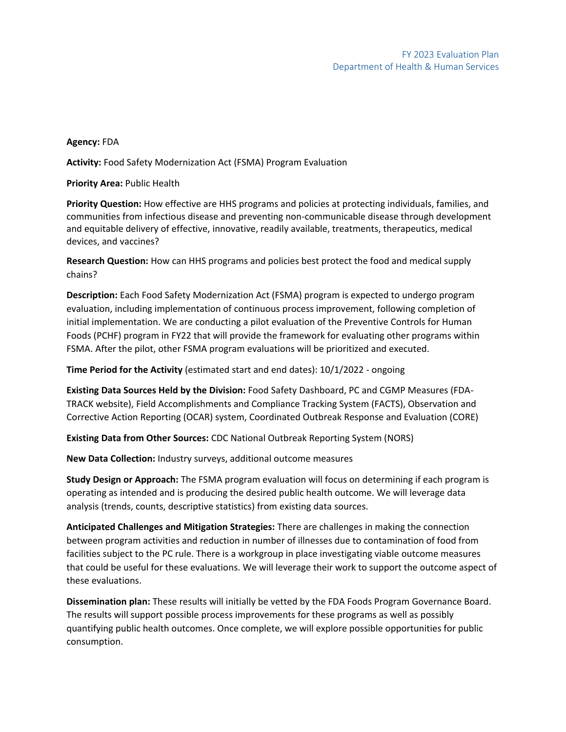# **Agency:** FDA

**Activity:** Food Safety Modernization Act (FSMA) Program Evaluation

**Priority Area:** Public Health

**Priority Question:** How effective are HHS programs and policies at protecting individuals, families, and communities from infectious disease and preventing non-communicable disease through development and equitable delivery of effective, innovative, readily available, treatments, therapeutics, medical devices, and vaccines?

**Research Question:** How can HHS programs and policies best protect the food and medical supply chains?

**Description:** Each Food Safety Modernization Act (FSMA) program is expected to undergo program evaluation, including implementation of continuous process improvement, following completion of initial implementation. We are conducting a pilot evaluation of the Preventive Controls for Human Foods (PCHF) program in FY22 that will provide the framework for evaluating other programs within FSMA. After the pilot, other FSMA program evaluations will be prioritized and executed.

**Time Period for the Activity** (estimated start and end dates): 10/1/2022 - ongoing

**Existing Data Sources Held by the Division:** Food Safety Dashboard, PC and CGMP Measures (FDA-TRACK website), Field Accomplishments and Compliance Tracking System (FACTS), Observation and Corrective Action Reporting (OCAR) system, Coordinated Outbreak Response and Evaluation (CORE)

**Existing Data from Other Sources:** CDC National Outbreak Reporting System (NORS)

**New Data Collection:** Industry surveys, additional outcome measures

**Study Design or Approach:** The FSMA program evaluation will focus on determining if each program is operating as intended and is producing the desired public health outcome. We will leverage data analysis (trends, counts, descriptive statistics) from existing data sources.

**Anticipated Challenges and Mitigation Strategies:** There are challenges in making the connection between program activities and reduction in number of illnesses due to contamination of food from facilities subject to the PC rule. There is a workgroup in place investigating viable outcome measures that could be useful for these evaluations. We will leverage their work to support the outcome aspect of these evaluations.

**Dissemination plan:** These results will initially be vetted by the FDA Foods Program Governance Board. The results will support possible process improvements for these programs as well as possibly quantifying public health outcomes. Once complete, we will explore possible opportunities for public consumption.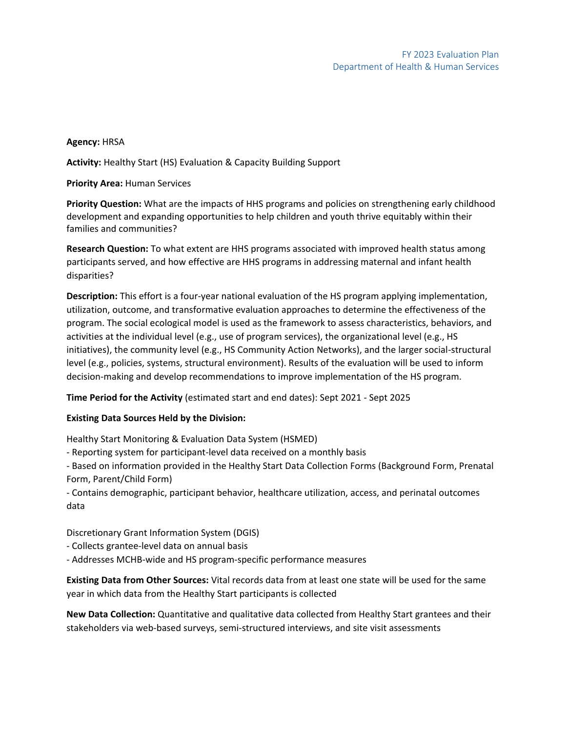## **Agency:** HRSA

**Activity:** Healthy Start (HS) Evaluation & Capacity Building Support

**Priority Area:** Human Services

**Priority Question:** What are the impacts of HHS programs and policies on strengthening early childhood development and expanding opportunities to help children and youth thrive equitably within their families and communities?

**Research Question:** To what extent are HHS programs associated with improved health status among participants served, and how effective are HHS programs in addressing maternal and infant health disparities?

**Description:** This effort is a four-year national evaluation of the HS program applying implementation, utilization, outcome, and transformative evaluation approaches to determine the effectiveness of the program. The social ecological model is used as the framework to assess characteristics, behaviors, and activities at the individual level (e.g., use of program services), the organizational level (e.g., HS initiatives), the community level (e.g., HS Community Action Networks), and the larger social-structural level (e.g., policies, systems, structural environment). Results of the evaluation will be used to inform decision-making and develop recommendations to improve implementation of the HS program.

**Time Period for the Activity** (estimated start and end dates): Sept 2021 - Sept 2025

### **Existing Data Sources Held by the Division:**

Healthy Start Monitoring & Evaluation Data System (HSMED)

- Reporting system for participant-level data received on a monthly basis

- Based on information provided in the Healthy Start Data Collection Forms (Background Form, Prenatal Form, Parent/Child Form)

- Contains demographic, participant behavior, healthcare utilization, access, and perinatal outcomes data

Discretionary Grant Information System (DGIS)

- Collects grantee-level data on annual basis

- Addresses MCHB-wide and HS program-specific performance measures

**Existing Data from Other Sources:** Vital records data from at least one state will be used for the same year in which data from the Healthy Start participants is collected

**New Data Collection:** Quantitative and qualitative data collected from Healthy Start grantees and their stakeholders via web-based surveys, semi-structured interviews, and site visit assessments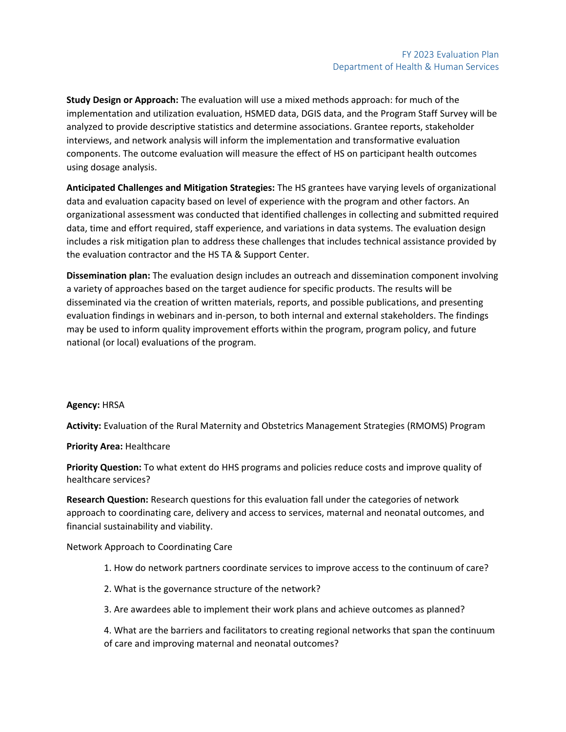**Study Design or Approach:** The evaluation will use a mixed methods approach: for much of the implementation and utilization evaluation, HSMED data, DGIS data, and the Program Staff Survey will be analyzed to provide descriptive statistics and determine associations. Grantee reports, stakeholder interviews, and network analysis will inform the implementation and transformative evaluation components. The outcome evaluation will measure the effect of HS on participant health outcomes using dosage analysis.

**Anticipated Challenges and Mitigation Strategies:** The HS grantees have varying levels of organizational data and evaluation capacity based on level of experience with the program and other factors. An organizational assessment was conducted that identified challenges in collecting and submitted required data, time and effort required, staff experience, and variations in data systems. The evaluation design includes a risk mitigation plan to address these challenges that includes technical assistance provided by the evaluation contractor and the HS TA & Support Center.

**Dissemination plan:** The evaluation design includes an outreach and dissemination component involving a variety of approaches based on the target audience for specific products. The results will be disseminated via the creation of written materials, reports, and possible publications, and presenting evaluation findings in webinars and in-person, to both internal and external stakeholders. The findings may be used to inform quality improvement efforts within the program, program policy, and future national (or local) evaluations of the program.

### **Agency:** HRSA

**Activity:** Evaluation of the Rural Maternity and Obstetrics Management Strategies (RMOMS) Program

#### **Priority Area:** Healthcare

**Priority Question:** To what extent do HHS programs and policies reduce costs and improve quality of healthcare services?

**Research Question:** Research questions for this evaluation fall under the categories of network approach to coordinating care, delivery and access to services, maternal and neonatal outcomes, and financial sustainability and viability.

Network Approach to Coordinating Care

- 1. How do network partners coordinate services to improve access to the continuum of care?
- 2. What is the governance structure of the network?
- 3. Are awardees able to implement their work plans and achieve outcomes as planned?

4. What are the barriers and facilitators to creating regional networks that span the continuum of care and improving maternal and neonatal outcomes?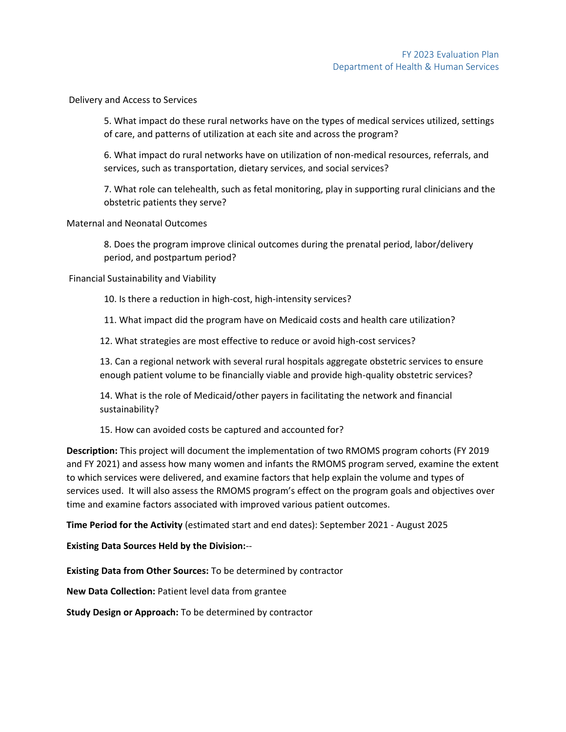#### Delivery and Access to Services

5. What impact do these rural networks have on the types of medical services utilized, settings of care, and patterns of utilization at each site and across the program?

6. What impact do rural networks have on utilization of non-medical resources, referrals, and services, such as transportation, dietary services, and social services?

7. What role can telehealth, such as fetal monitoring, play in supporting rural clinicians and the obstetric patients they serve?

#### Maternal and Neonatal Outcomes

8. Does the program improve clinical outcomes during the prenatal period, labor/delivery period, and postpartum period?

Financial Sustainability and Viability

10. Is there a reduction in high-cost, high-intensity services?

11. What impact did the program have on Medicaid costs and health care utilization?

12. What strategies are most effective to reduce or avoid high-cost services?

13. Can a regional network with several rural hospitals aggregate obstetric services to ensure enough patient volume to be financially viable and provide high-quality obstetric services?

14. What is the role of Medicaid/other payers in facilitating the network and financial sustainability?

15. How can avoided costs be captured and accounted for?

**Description:** This project will document the implementation of two RMOMS program cohorts (FY 2019 and FY 2021) and assess how many women and infants the RMOMS program served, examine the extent to which services were delivered, and examine factors that help explain the volume and types of services used. It will also assess the RMOMS program's effect on the program goals and objectives over time and examine factors associated with improved various patient outcomes.

**Time Period for the Activity** (estimated start and end dates): September 2021 - August 2025

**Existing Data Sources Held by the Division:**--

**Existing Data from Other Sources:** To be determined by contractor

**New Data Collection:** Patient level data from grantee

**Study Design or Approach:** To be determined by contractor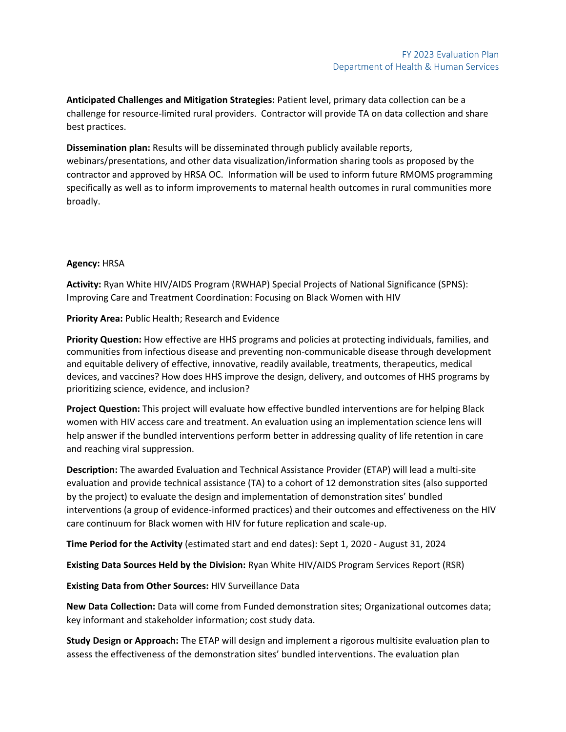**Anticipated Challenges and Mitigation Strategies:** Patient level, primary data collection can be a challenge for resource-limited rural providers. Contractor will provide TA on data collection and share best practices.

**Dissemination plan:** Results will be disseminated through publicly available reports, webinars/presentations, and other data visualization/information sharing tools as proposed by the contractor and approved by HRSA OC. Information will be used to inform future RMOMS programming specifically as well as to inform improvements to maternal health outcomes in rural communities more broadly.

## **Agency:** HRSA

**Activity:** Ryan White HIV/AIDS Program (RWHAP) Special Projects of National Significance (SPNS): Improving Care and Treatment Coordination: Focusing on Black Women with HIV

**Priority Area:** Public Health; Research and Evidence

**Priority Question:** How effective are HHS programs and policies at protecting individuals, families, and communities from infectious disease and preventing non-communicable disease through development and equitable delivery of effective, innovative, readily available, treatments, therapeutics, medical devices, and vaccines? How does HHS improve the design, delivery, and outcomes of HHS programs by prioritizing science, evidence, and inclusion?

**Project Question:** This project will evaluate how effective bundled interventions are for helping Black women with HIV access care and treatment. An evaluation using an implementation science lens will help answer if the bundled interventions perform better in addressing quality of life retention in care and reaching viral suppression.

**Description:** The awarded Evaluation and Technical Assistance Provider (ETAP) will lead a multi-site evaluation and provide technical assistance (TA) to a cohort of 12 demonstration sites (also supported by the project) to evaluate the design and implementation of demonstration sites' bundled interventions (a group of evidence-informed practices) and their outcomes and effectiveness on the HIV care continuum for Black women with HIV for future replication and scale-up.

**Time Period for the Activity** (estimated start and end dates): Sept 1, 2020 - August 31, 2024

**Existing Data Sources Held by the Division:** Ryan White HIV/AIDS Program Services Report (RSR)

**Existing Data from Other Sources:** HIV Surveillance Data

**New Data Collection:** Data will come from Funded demonstration sites; Organizational outcomes data; key informant and stakeholder information; cost study data.

**Study Design or Approach:** The ETAP will design and implement a rigorous multisite evaluation plan to assess the effectiveness of the demonstration sites' bundled interventions. The evaluation plan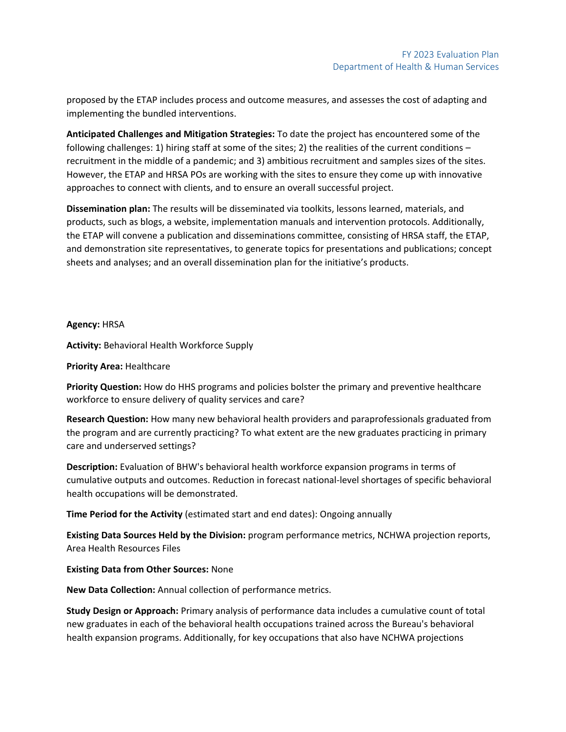proposed by the ETAP includes process and outcome measures, and assesses the cost of adapting and implementing the bundled interventions.

**Anticipated Challenges and Mitigation Strategies:** To date the project has encountered some of the following challenges: 1) hiring staff at some of the sites; 2) the realities of the current conditions – recruitment in the middle of a pandemic; and 3) ambitious recruitment and samples sizes of the sites. However, the ETAP and HRSA POs are working with the sites to ensure they come up with innovative approaches to connect with clients, and to ensure an overall successful project.

**Dissemination plan:** The results will be disseminated via toolkits, lessons learned, materials, and products, such as blogs, a website, implementation manuals and intervention protocols. Additionally, the ETAP will convene a publication and disseminations committee, consisting of HRSA staff, the ETAP, and demonstration site representatives, to generate topics for presentations and publications; concept sheets and analyses; and an overall dissemination plan for the initiative's products.

### **Agency:** HRSA

**Activity:** Behavioral Health Workforce Supply

### **Priority Area:** Healthcare

**Priority Question:** How do HHS programs and policies bolster the primary and preventive healthcare workforce to ensure delivery of quality services and care?

**Research Question:** How many new behavioral health providers and paraprofessionals graduated from the program and are currently practicing? To what extent are the new graduates practicing in primary care and underserved settings?

**Description:** Evaluation of BHW's behavioral health workforce expansion programs in terms of cumulative outputs and outcomes. Reduction in forecast national-level shortages of specific behavioral health occupations will be demonstrated.

**Time Period for the Activity** (estimated start and end dates): Ongoing annually

**Existing Data Sources Held by the Division:** program performance metrics, NCHWA projection reports, Area Health Resources Files

### **Existing Data from Other Sources:** None

**New Data Collection:** Annual collection of performance metrics.

**Study Design or Approach:** Primary analysis of performance data includes a cumulative count of total new graduates in each of the behavioral health occupations trained across the Bureau's behavioral health expansion programs. Additionally, for key occupations that also have NCHWA projections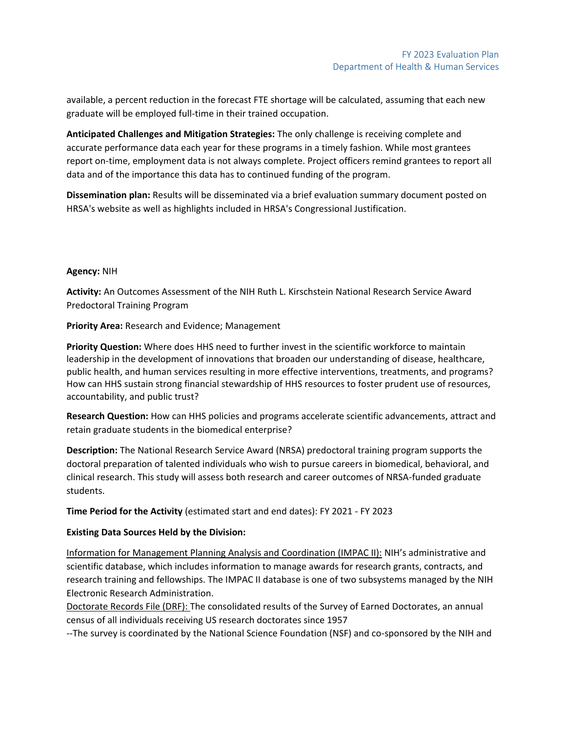available, a percent reduction in the forecast FTE shortage will be calculated, assuming that each new graduate will be employed full-time in their trained occupation.

**Anticipated Challenges and Mitigation Strategies:** The only challenge is receiving complete and accurate performance data each year for these programs in a timely fashion. While most grantees report on-time, employment data is not always complete. Project officers remind grantees to report all data and of the importance this data has to continued funding of the program.

**Dissemination plan:** Results will be disseminated via a brief evaluation summary document posted on HRSA's website as well as highlights included in HRSA's Congressional Justification.

### **Agency:** NIH

**Activity:** An Outcomes Assessment of the NIH Ruth L. Kirschstein National Research Service Award Predoctoral Training Program

**Priority Area:** Research and Evidence; Management

**Priority Question:** Where does HHS need to further invest in the scientific workforce to maintain leadership in the development of innovations that broaden our understanding of disease, healthcare, public health, and human services resulting in more effective interventions, treatments, and programs? How can HHS sustain strong financial stewardship of HHS resources to foster prudent use of resources, accountability, and public trust?

**Research Question:** How can HHS policies and programs accelerate scientific advancements, attract and retain graduate students in the biomedical enterprise?

**Description:** The National Research Service Award (NRSA) predoctoral training program supports the doctoral preparation of talented individuals who wish to pursue careers in biomedical, behavioral, and clinical research. This study will assess both research and career outcomes of NRSA-funded graduate students.

**Time Period for the Activity** (estimated start and end dates): FY 2021 - FY 2023

### **Existing Data Sources Held by the Division:**

Information for Management Planning Analysis and Coordination (IMPAC II): NIH's administrative and scientific database, which includes information to manage awards for research grants, contracts, and research training and fellowships. The IMPAC II database is one of two subsystems managed by the NIH Electronic Research Administration.

Doctorate Records File (DRF): The consolidated results of the Survey of Earned Doctorates, an annual census of all individuals receiving US research doctorates since 1957

--The survey is coordinated by the National Science Foundation (NSF) and co-sponsored by the NIH and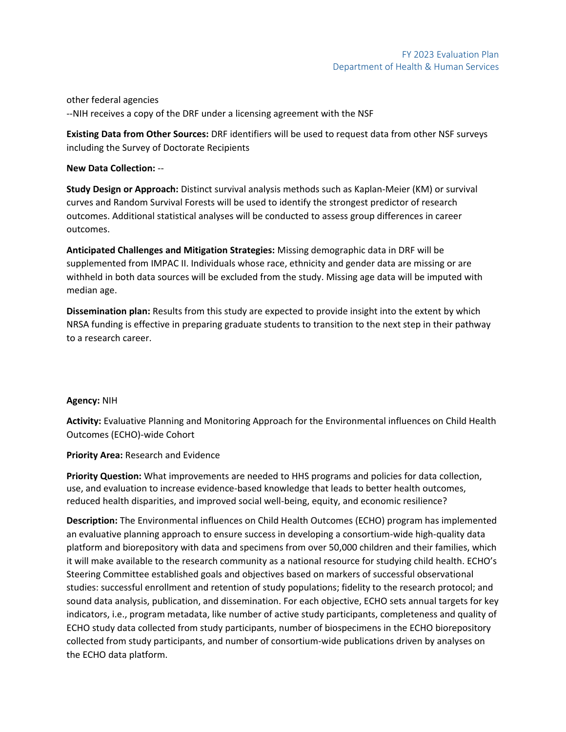other federal agencies --NIH receives a copy of the DRF under a licensing agreement with the NSF

**Existing Data from Other Sources:** DRF identifiers will be used to request data from other NSF surveys including the Survey of Doctorate Recipients

## **New Data Collection:** --

**Study Design or Approach:** Distinct survival analysis methods such as Kaplan-Meier (KM) or survival curves and Random Survival Forests will be used to identify the strongest predictor of research outcomes. Additional statistical analyses will be conducted to assess group differences in career outcomes.

**Anticipated Challenges and Mitigation Strategies:** Missing demographic data in DRF will be supplemented from IMPAC II. Individuals whose race, ethnicity and gender data are missing or are withheld in both data sources will be excluded from the study. Missing age data will be imputed with median age.

**Dissemination plan:** Results from this study are expected to provide insight into the extent by which NRSA funding is effective in preparing graduate students to transition to the next step in their pathway to a research career.

### **Agency:** NIH

**Activity:** Evaluative Planning and Monitoring Approach for the Environmental influences on Child Health Outcomes (ECHO)-wide Cohort

**Priority Area:** Research and Evidence

**Priority Question:** What improvements are needed to HHS programs and policies for data collection, use, and evaluation to increase evidence-based knowledge that leads to better health outcomes, reduced health disparities, and improved social well-being, equity, and economic resilience?

**Description:** The Environmental influences on Child Health Outcomes (ECHO) program has implemented an evaluative planning approach to ensure success in developing a consortium-wide high-quality data platform and biorepository with data and specimens from over 50,000 children and their families, which it will make available to the research community as a national resource for studying child health. ECHO's Steering Committee established goals and objectives based on markers of successful observational studies: successful enrollment and retention of study populations; fidelity to the research protocol; and sound data analysis, publication, and dissemination. For each objective, ECHO sets annual targets for key indicators, i.e., program metadata, like number of active study participants, completeness and quality of ECHO study data collected from study participants, number of biospecimens in the ECHO biorepository collected from study participants, and number of consortium-wide publications driven by analyses on the ECHO data platform.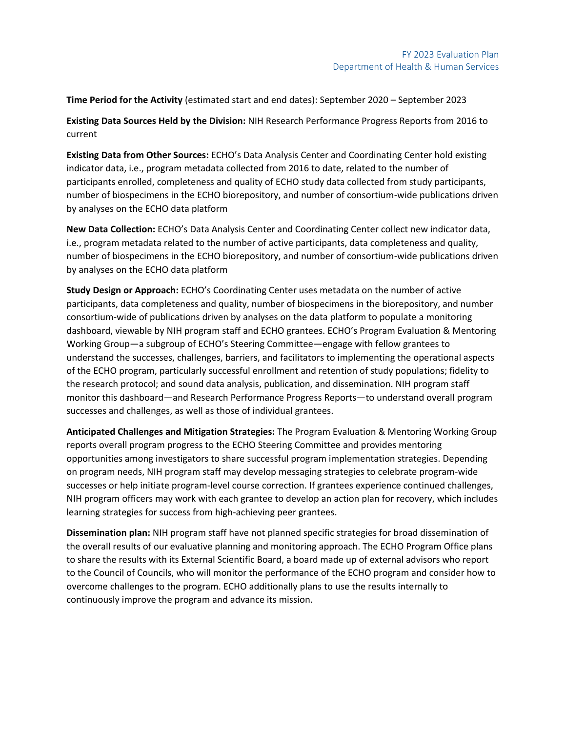**Time Period for the Activity** (estimated start and end dates): September 2020 – September 2023

**Existing Data Sources Held by the Division:** NIH Research Performance Progress Reports from 2016 to current

**Existing Data from Other Sources:** ECHO's Data Analysis Center and Coordinating Center hold existing indicator data, i.e., program metadata collected from 2016 to date, related to the number of participants enrolled, completeness and quality of ECHO study data collected from study participants, number of biospecimens in the ECHO biorepository, and number of consortium-wide publications driven by analyses on the ECHO data platform

**New Data Collection:** ECHO's Data Analysis Center and Coordinating Center collect new indicator data, i.e., program metadata related to the number of active participants, data completeness and quality, number of biospecimens in the ECHO biorepository, and number of consortium-wide publications driven by analyses on the ECHO data platform

**Study Design or Approach:** ECHO's Coordinating Center uses metadata on the number of active participants, data completeness and quality, number of biospecimens in the biorepository, and number consortium-wide of publications driven by analyses on the data platform to populate a monitoring dashboard, viewable by NIH program staff and ECHO grantees. ECHO's Program Evaluation & Mentoring Working Group—a subgroup of ECHO's Steering Committee—engage with fellow grantees to understand the successes, challenges, barriers, and facilitators to implementing the operational aspects of the ECHO program, particularly successful enrollment and retention of study populations; fidelity to the research protocol; and sound data analysis, publication, and dissemination. NIH program staff monitor this dashboard—and Research Performance Progress Reports—to understand overall program successes and challenges, as well as those of individual grantees.

**Anticipated Challenges and Mitigation Strategies:** The Program Evaluation & Mentoring Working Group reports overall program progress to the ECHO Steering Committee and provides mentoring opportunities among investigators to share successful program implementation strategies. Depending on program needs, NIH program staff may develop messaging strategies to celebrate program-wide successes or help initiate program-level course correction. If grantees experience continued challenges, NIH program officers may work with each grantee to develop an action plan for recovery, which includes learning strategies for success from high-achieving peer grantees.

**Dissemination plan:** NIH program staff have not planned specific strategies for broad dissemination of the overall results of our evaluative planning and monitoring approach. The ECHO Program Office plans to share the results with its External Scientific Board, a board made up of external advisors who report to the Council of Councils, who will monitor the performance of the ECHO program and consider how to overcome challenges to the program. ECHO additionally plans to use the results internally to continuously improve the program and advance its mission.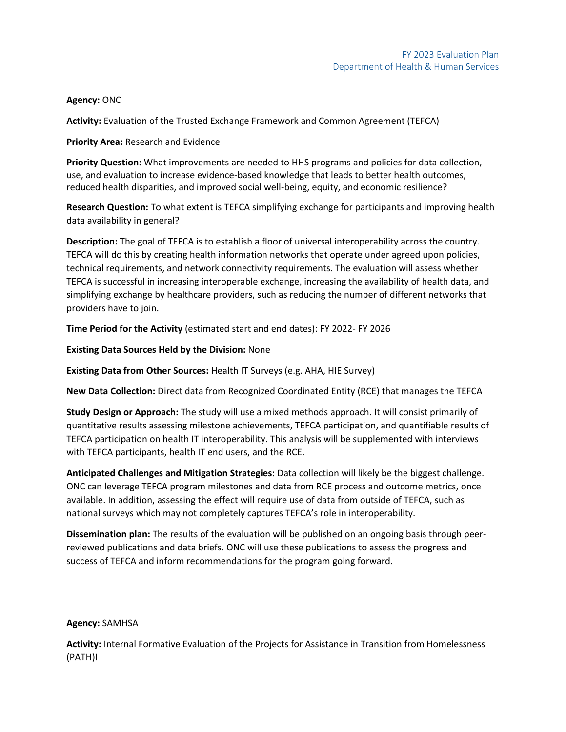### **Agency:** ONC

**Activity:** Evaluation of the Trusted Exchange Framework and Common Agreement (TEFCA)

**Priority Area:** Research and Evidence

**Priority Question:** What improvements are needed to HHS programs and policies for data collection, use, and evaluation to increase evidence-based knowledge that leads to better health outcomes, reduced health disparities, and improved social well-being, equity, and economic resilience?

**Research Question:** To what extent is TEFCA simplifying exchange for participants and improving health data availability in general?

**Description:** The goal of TEFCA is to establish a floor of universal interoperability across the country. TEFCA will do this by creating health information networks that operate under agreed upon policies, technical requirements, and network connectivity requirements. The evaluation will assess whether TEFCA is successful in increasing interoperable exchange, increasing the availability of health data, and simplifying exchange by healthcare providers, such as reducing the number of different networks that providers have to join.

**Time Period for the Activity** (estimated start and end dates): FY 2022- FY 2026

**Existing Data Sources Held by the Division:** None

**Existing Data from Other Sources:** Health IT Surveys (e.g. AHA, HIE Survey)

**New Data Collection:** Direct data from Recognized Coordinated Entity (RCE) that manages the TEFCA

**Study Design or Approach:** The study will use a mixed methods approach. It will consist primarily of quantitative results assessing milestone achievements, TEFCA participation, and quantifiable results of TEFCA participation on health IT interoperability. This analysis will be supplemented with interviews with TEFCA participants, health IT end users, and the RCE.

**Anticipated Challenges and Mitigation Strategies:** Data collection will likely be the biggest challenge. ONC can leverage TEFCA program milestones and data from RCE process and outcome metrics, once available. In addition, assessing the effect will require use of data from outside of TEFCA, such as national surveys which may not completely captures TEFCA's role in interoperability.

**Dissemination plan:** The results of the evaluation will be published on an ongoing basis through peerreviewed publications and data briefs. ONC will use these publications to assess the progress and success of TEFCA and inform recommendations for the program going forward.

### **Agency:** SAMHSA

**Activity:** Internal Formative Evaluation of the Projects for Assistance in Transition from Homelessness (PATH)I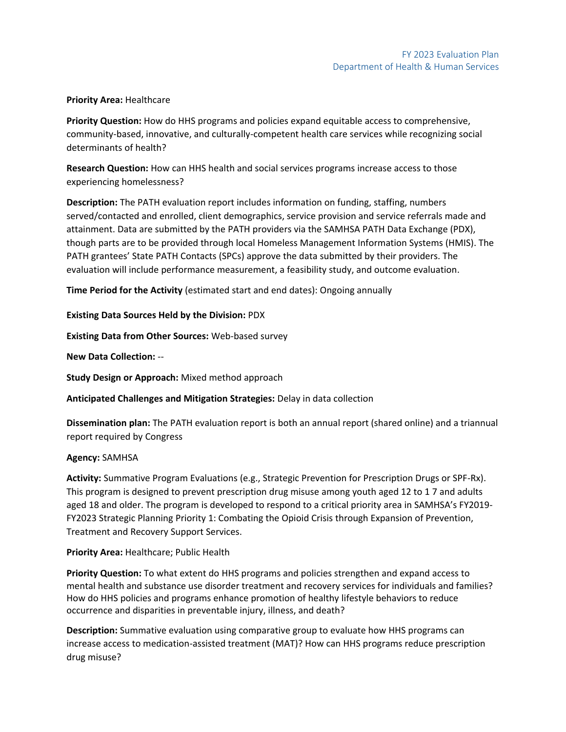#### **Priority Area:** Healthcare

**Priority Question:** How do HHS programs and policies expand equitable access to comprehensive, community-based, innovative, and culturally-competent health care services while recognizing social determinants of health?

**Research Question:** How can HHS health and social services programs increase access to those experiencing homelessness?

**Description:** The PATH evaluation report includes information on funding, staffing, numbers served/contacted and enrolled, client demographics, service provision and service referrals made and attainment. Data are submitted by the PATH providers via the SAMHSA PATH Data Exchange (PDX), though parts are to be provided through local Homeless Management Information Systems (HMIS). The PATH grantees' State PATH Contacts (SPCs) approve the data submitted by their providers. The evaluation will include performance measurement, a feasibility study, and outcome evaluation.

**Time Period for the Activity** (estimated start and end dates): Ongoing annually

**Existing Data Sources Held by the Division:** PDX

**Existing Data from Other Sources:** Web-based survey

**New Data Collection:** --

**Study Design or Approach:** Mixed method approach

**Anticipated Challenges and Mitigation Strategies:** Delay in data collection

**Dissemination plan:** The PATH evaluation report is both an annual report (shared online) and a triannual report required by Congress

### **Agency:** SAMHSA

**Activity:** Summative Program Evaluations (e.g., Strategic Prevention for Prescription Drugs or SPF-Rx). This program is designed to prevent prescription drug misuse among youth aged 12 to 1 7 and adults aged 18 and older. The program is developed to respond to a critical priority area in SAMHSA's FY2019- FY2023 Strategic Planning Priority 1: Combating the Opioid Crisis through Expansion of Prevention, Treatment and Recovery Support Services.

### **Priority Area:** Healthcare; Public Health

**Priority Question:** To what extent do HHS programs and policies strengthen and expand access to mental health and substance use disorder treatment and recovery services for individuals and families? How do HHS policies and programs enhance promotion of healthy lifestyle behaviors to reduce occurrence and disparities in preventable injury, illness, and death?

**Description:** Summative evaluation using comparative group to evaluate how HHS programs can increase access to medication-assisted treatment (MAT)? How can HHS programs reduce prescription drug misuse?